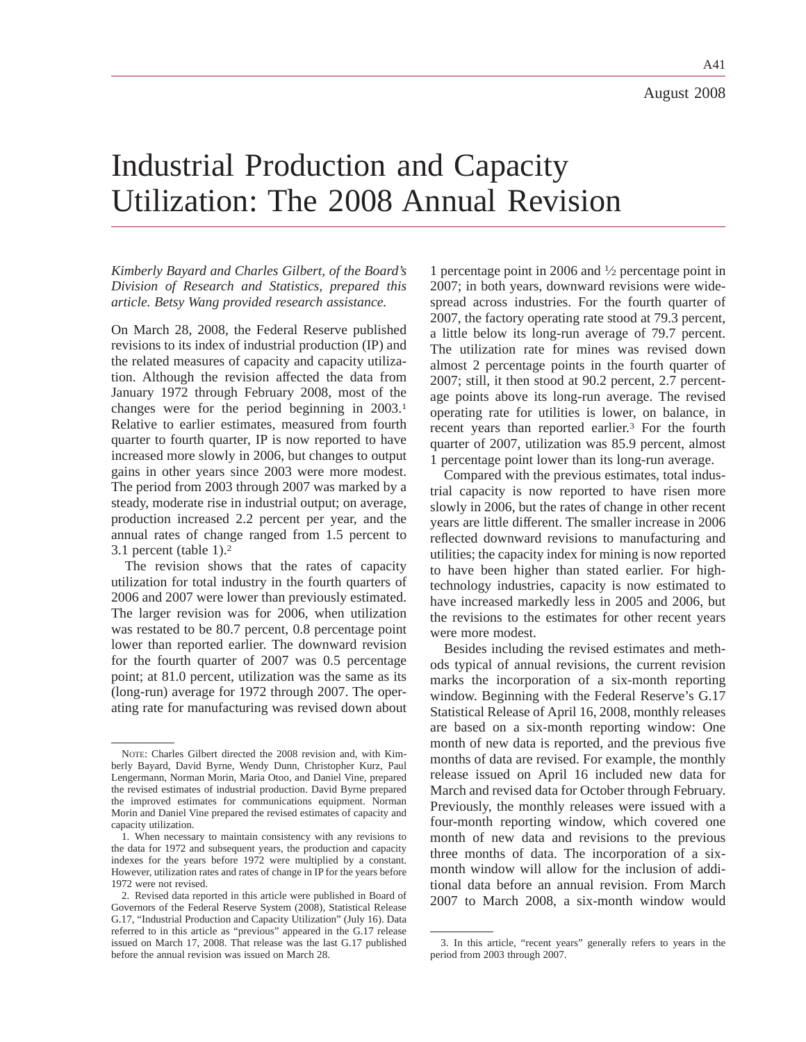A41

# Industrial Production and Capacity Utilization: The 2008 Annual Revision

*Kimberly Bayard and Charles Gilbert, of the Board's Division of Research and Statistics, prepared this article. Betsy Wang provided research assistance.*

On March 28, 2008, the Federal Reserve published revisions to its index of industrial production (IP) and the related measures of capacity and capacity utilization. Although the revision affected the data from January 1972 through February 2008, most of the changes were for the period beginning in 2003.1 Relative to earlier estimates, measured from fourth quarter to fourth quarter, IP is now reported to have increased more slowly in 2006, but changes to output gains in other years since 2003 were more modest. The period from 2003 through 2007 was marked by a steady, moderate rise in industrial output; on average, production increased 2.2 percent per year, and the annual rates of change ranged from 1.5 percent to 3.1 percent (table 1).2

The revision shows that the rates of capacity utilization for total industry in the fourth quarters of 2006 and 2007 were lower than previously estimated. The larger revision was for 2006, when utilization was restated to be 80.7 percent, 0.8 percentage point lower than reported earlier. The downward revision for the fourth quarter of 2007 was 0.5 percentage point; at 81.0 percent, utilization was the same as its (long-run) average for 1972 through 2007. The operating rate for manufacturing was revised down about

1 percentage point in 2006 and  $\frac{1}{2}$  percentage point in 2007; in both years, downward revisions were widespread across industries. For the fourth quarter of 2007, the factory operating rate stood at 79.3 percent, a little below its long-run average of 79.7 percent. The utilization rate for mines was revised down almost 2 percentage points in the fourth quarter of 2007; still, it then stood at 90.2 percent, 2.7 percentage points above its long-run average. The revised operating rate for utilities is lower, on balance, in recent years than reported earlier.3 For the fourth quarter of 2007, utilization was 85.9 percent, almost 1 percentage point lower than its long-run average.

Compared with the previous estimates, total industrial capacity is now reported to have risen more slowly in 2006, but the rates of change in other recent years are little different. The smaller increase in 2006 reflected downward revisions to manufacturing and utilities; the capacity index for mining is now reported to have been higher than stated earlier. For hightechnology industries, capacity is now estimated to have increased markedly less in 2005 and 2006, but the revisions to the estimates for other recent years were more modest.

Besides including the revised estimates and methods typical of annual revisions, the current revision marks the incorporation of a six-month reporting window. Beginning with the Federal Reserve's G.17 Statistical Release of April 16, 2008, monthly releases are based on a six-month reporting window: One month of new data is reported, and the previous five months of data are revised. For example, the monthly release issued on April 16 included new data for March and revised data for October through February. Previously, the monthly releases were issued with a four-month reporting window, which covered one month of new data and revisions to the previous three months of data. The incorporation of a sixmonth window will allow for the inclusion of additional data before an annual revision. From March 2007 to March 2008, a six-month window would

NOTE: Charles Gilbert directed the 2008 revision and, with Kimberly Bayard, David Byrne, Wendy Dunn, Christopher Kurz, Paul Lengermann, Norman Morin, Maria Otoo, and Daniel Vine, prepared the revised estimates of industrial production. David Byrne prepared the improved estimates for communications equipment. Norman Morin and Daniel Vine prepared the revised estimates of capacity and capacity utilization.

<sup>1.</sup> When necessary to maintain consistency with any revisions to the data for 1972 and subsequent years, the production and capacity indexes for the years before 1972 were multiplied by a constant. However, utilization rates and rates of change in IP for the years before 1972 were not revised.

<sup>2.</sup> Revised data reported in this article were published in Board of Governors of the Federal Reserve System (2008), Statistical Release G.17, "Industrial Production and Capacity Utilization" (July 16). Data referred to in this article as "previous" appeared in the G.17 release issued on March 17, 2008. That release was the last G.17 published before the annual revision was issued on March 28.

<sup>3.</sup> In this article, "recent years" generally refers to years in the period from 2003 through 2007.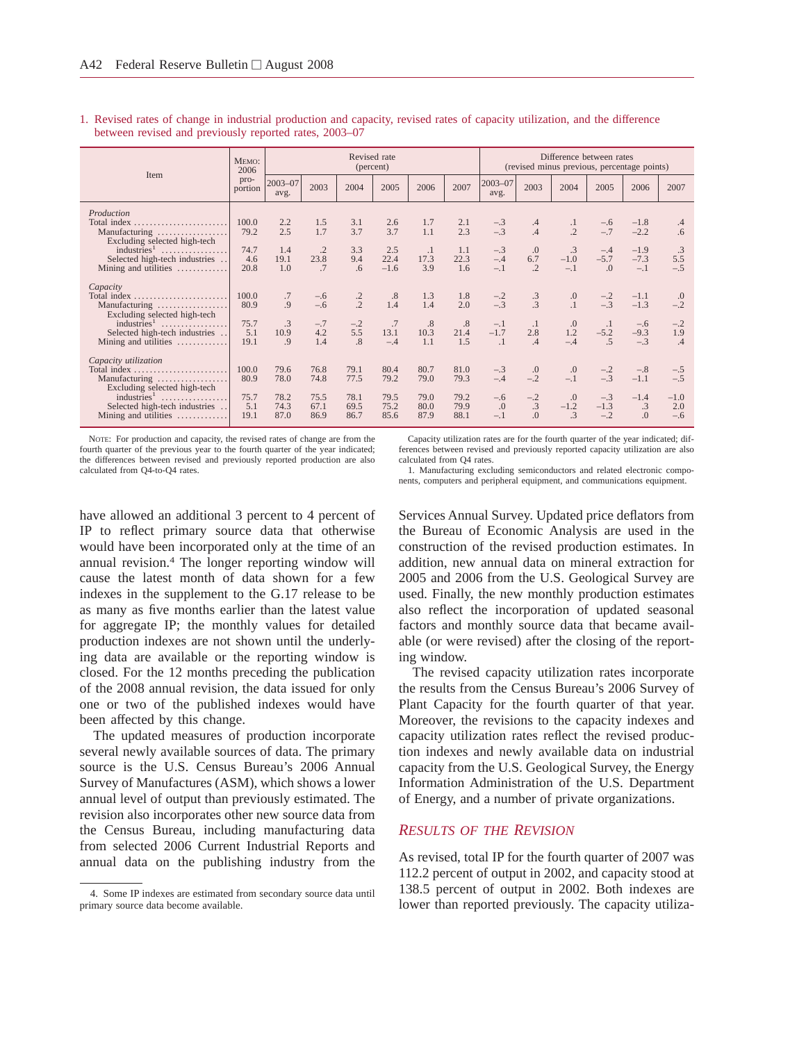1. Revised rates of change in industrial production and capacity, revised rates of capacity utilization, and the difference between revised and previously reported rates, 2003–07

| Item                                                                                  | MEMO:<br>2006       |                      |                          |                                | Revised rate<br>(percent) |                        |                      |                         |                                  | Difference between rates<br>(revised minus previous, percentage points) |                             |                           |                        |
|---------------------------------------------------------------------------------------|---------------------|----------------------|--------------------------|--------------------------------|---------------------------|------------------------|----------------------|-------------------------|----------------------------------|-------------------------------------------------------------------------|-----------------------------|---------------------------|------------------------|
|                                                                                       | pro-<br>portion     | $2003 - 07$<br>avg.  | 2003                     | 2004                           | 2005                      | 2006                   | 2007                 | 2003-07<br>avg.         | 2003                             | 2004                                                                    | 2005                        | 2006                      | 2007                   |
| Production<br>Total index<br>Manufacturing<br>Excluding selected high-tech            | 100.0<br>79.2       | 2.2<br>2.5           | 1.5<br>1.7               | 3.1<br>3.7                     | 2.6<br>3.7                | 1.7<br>1.1             | 2.1<br>2.3           | $-.3$<br>$-.3$          | $\cdot$ 4<br>.4                  | $\frac{.1}{.2}$                                                         | $-.6$<br>$-.7$              | $-1.8$<br>$-2.2$          | .4<br>.6               |
| industries <sup>1</sup><br>Selected high-tech industries<br>Mining and utilities      | 74.7<br>4.6<br>20.8 | 1.4<br>19.1<br>1.0   | $\cdot$ .2<br>23.8<br>.7 | 3.3<br>9.4<br>6.6              | 2.5<br>22.4<br>$-1.6$     | $\cdot$<br>17.3<br>3.9 | 1.1<br>22.3<br>1.6   | $-.3$<br>$-.4$<br>$-.1$ | .0<br>6.7<br>$\cdot$             | $\cdot$ 3<br>$-1.0$<br>$-.1$                                            | $-.4$<br>$-5.7$<br>$\Omega$ | $-1.9$<br>$-7.3$<br>$-.1$ | .3<br>5.5<br>$-.5$     |
| Capacity<br>Total index<br>Manufacturing<br>Excluding selected high-tech              | 100.0<br>80.9       | .7<br>.9             | $-.6$<br>$-.6$           | $\frac{.2}{.2}$                | .8<br>1.4                 | 1.3<br>1.4             | 1.8<br>2.0           | $-.2$<br>$-.3$          | $\frac{.3}{.3}$                  | $\stackrel{.0}{_{.1}}$                                                  | $-2$<br>$-3$                | $-1.1$<br>$-1.3$          | .0<br>$-.2$            |
| industries <sup>1</sup><br>.<br>Selected high-tech industries<br>Mining and utilities | 75.7<br>5.1<br>19.1 | .3<br>10.9<br>.9     | $-.7$<br>4.2<br>1.4      | $-.2$<br>5.5<br>$\overline{8}$ | .7<br>13.1<br>$-.4$       | .8<br>10.3<br>1.1      | .8<br>21.4<br>1.5    | $-.1$<br>$-1.7$         | $\cdot$<br>2.8<br>.4             | .0<br>1.2                                                               | $\cdot$<br>$-5.2$<br>.5     | $-.6$<br>$-9.3$           | $-.2$<br>1.9<br>.4     |
| Capacity utilization<br>Total index.<br>Manufacturing<br>Excluding selected high-tech | 100.0<br>80.9       | 79.6<br>78.0         | 76.8<br>74.8             | 79.1<br>77.5                   | 80.4<br>79.2              | 80.7<br>79.0           | 81.0<br>79.3         | $-.3$<br>$-.4$          | $\Omega$ .<br>$-.2$              | .0<br>$-.1$                                                             | $-.2$<br>$-.3$              | $-.8$<br>$-1.1$           | $-.5$<br>$-.5$         |
| $industries1$<br>Selected high-tech industries<br>Mining and utilities                | 75.7<br>5.1<br>19.1 | 78.2<br>74.3<br>87.0 | 75.5<br>67.1<br>86.9     | 78.1<br>69.5<br>86.7           | 79.5<br>75.2<br>85.6      | 79.0<br>80.0<br>87.9   | 79.2<br>79.9<br>88.1 | $-.6$<br>.0             | $-.2$<br>$\cdot$ 3<br>$\Omega$ . | .0<br>$-1.2$<br>$\overline{3}$                                          | $-.3$<br>$-1.3$<br>$-.2$    | $-1.4$<br>.3<br>$\Omega$  | $-1.0$<br>2.0<br>$-.6$ |

NOTE: For production and capacity, the revised rates of change are from the fourth quarter of the previous year to the fourth quarter of the year indicated; the differences between revised and previously reported production are also calculated from Q4-to-Q4 rates.

Capacity utilization rates are for the fourth quarter of the year indicated; differences between revised and previously reported capacity utilization are also calculated from Q4 rates.

1. Manufacturing excluding semiconductors and related electronic components, computers and peripheral equipment, and communications equipment.

have allowed an additional 3 percent to 4 percent of IP to reflect primary source data that otherwise would have been incorporated only at the time of an annual revision.4 The longer reporting window will cause the latest month of data shown for a few indexes in the supplement to the G.17 release to be as many as five months earlier than the latest value for aggregate IP; the monthly values for detailed production indexes are not shown until the underlying data are available or the reporting window is closed. For the 12 months preceding the publication of the 2008 annual revision, the data issued for only one or two of the published indexes would have been affected by this change.

The updated measures of production incorporate several newly available sources of data. The primary source is the U.S. Census Bureau's 2006 Annual Survey of Manufactures (ASM), which shows a lower annual level of output than previously estimated. The revision also incorporates other new source data from the Census Bureau, including manufacturing data from selected 2006 Current Industrial Reports and annual data on the publishing industry from the Services Annual Survey. Updated price deflators from the Bureau of Economic Analysis are used in the construction of the revised production estimates. In addition, new annual data on mineral extraction for 2005 and 2006 from the U.S. Geological Survey are used. Finally, the new monthly production estimates also reflect the incorporation of updated seasonal factors and monthly source data that became available (or were revised) after the closing of the reporting window.

The revised capacity utilization rates incorporate the results from the Census Bureau's 2006 Survey of Plant Capacity for the fourth quarter of that year. Moreover, the revisions to the capacity indexes and capacity utilization rates reflect the revised production indexes and newly available data on industrial capacity from the U.S. Geological Survey, the Energy Information Administration of the U.S. Department of Energy, and a number of private organizations.

## *RESULTS OF THE REVISION*

As revised, total IP for the fourth quarter of 2007 was 112.2 percent of output in 2002, and capacity stood at 138.5 percent of output in 2002. Both indexes are lower than reported previously. The capacity utiliza-

<sup>4.</sup> Some IP indexes are estimated from secondary source data until primary source data become available.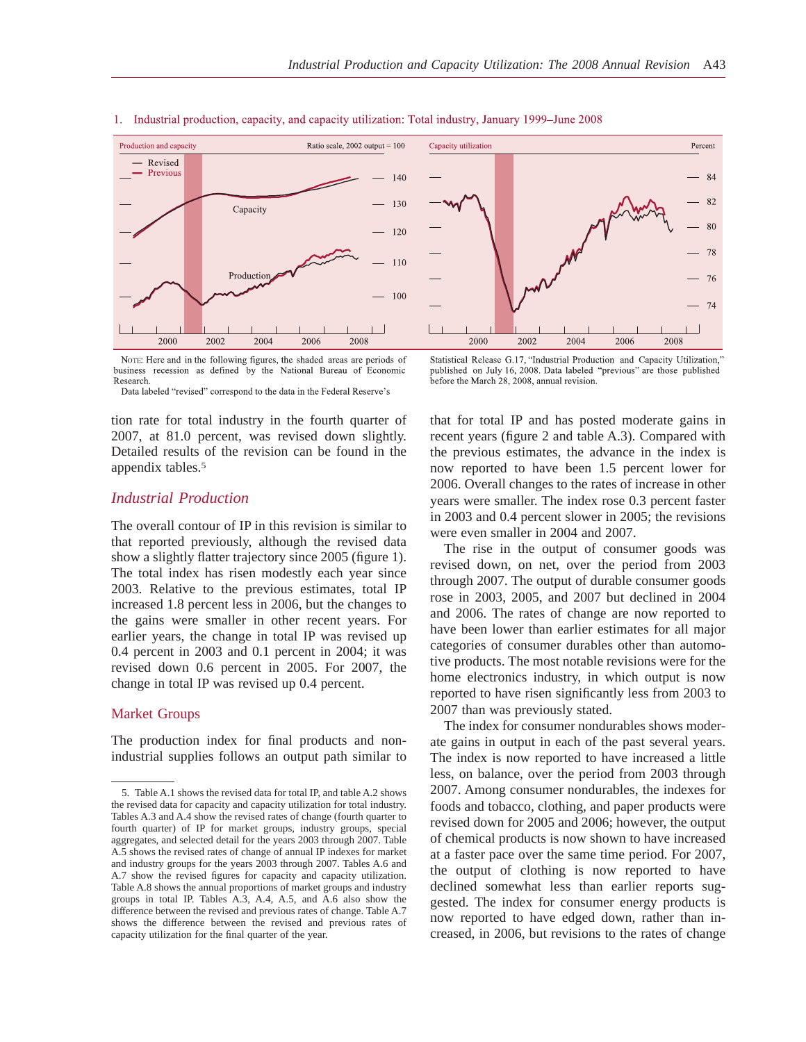

#### 1. Industrial production, capacity, and capacity utilization: Total industry, January 1999–June 2008

NOTE: Here and in the following figures, the shaded areas are periods of business recession as defined by the National Bureau of Economic Research

Data labeled "revised" correspond to the data in the Federal Reserve's

tion rate for total industry in the fourth quarter of 2007, at 81.0 percent, was revised down slightly. Detailed results of the revision can be found in the appendix tables.5

# *Industrial Production*

The overall contour of IP in this revision is similar to that reported previously, although the revised data show a slightly flatter trajectory since 2005 (figure 1). The total index has risen modestly each year since 2003. Relative to the previous estimates, total IP increased 1.8 percent less in 2006, but the changes to the gains were smaller in other recent years. For earlier years, the change in total IP was revised up 0.4 percent in 2003 and 0.1 percent in 2004; it was revised down 0.6 percent in 2005. For 2007, the change in total IP was revised up 0.4 percent.

#### Market Groups

The production index for final products and nonindustrial supplies follows an output path similar to



Statistical Release G.17, "Industrial Production and Capacity Utilization," published on July 16, 2008. Data labeled "previous" are those published before the March 28, 2008, annual revision.

that for total IP and has posted moderate gains in recent years (figure 2 and table A.3). Compared with the previous estimates, the advance in the index is now reported to have been 1.5 percent lower for 2006. Overall changes to the rates of increase in other years were smaller. The index rose 0.3 percent faster in 2003 and 0.4 percent slower in 2005; the revisions were even smaller in 2004 and 2007.

The rise in the output of consumer goods was revised down, on net, over the period from 2003 through 2007. The output of durable consumer goods rose in 2003, 2005, and 2007 but declined in 2004 and 2006. The rates of change are now reported to have been lower than earlier estimates for all major categories of consumer durables other than automotive products. The most notable revisions were for the home electronics industry, in which output is now reported to have risen significantly less from 2003 to 2007 than was previously stated.

The index for consumer nondurables shows moderate gains in output in each of the past several years. The index is now reported to have increased a little less, on balance, over the period from 2003 through 2007. Among consumer nondurables, the indexes for foods and tobacco, clothing, and paper products were revised down for 2005 and 2006; however, the output of chemical products is now shown to have increased at a faster pace over the same time period. For 2007, the output of clothing is now reported to have declined somewhat less than earlier reports suggested. The index for consumer energy products is now reported to have edged down, rather than increased, in 2006, but revisions to the rates of change

<sup>5.</sup> Table A.1 shows the revised data for total IP, and table A.2 shows the revised data for capacity and capacity utilization for total industry. Tables A.3 and A.4 show the revised rates of change (fourth quarter to fourth quarter) of IP for market groups, industry groups, special aggregates, and selected detail for the years 2003 through 2007. Table A.5 shows the revised rates of change of annual IP indexes for market and industry groups for the years 2003 through 2007. Tables A.6 and A.7 show the revised figures for capacity and capacity utilization. Table A.8 shows the annual proportions of market groups and industry groups in total IP. Tables A.3, A.4, A.5, and A.6 also show the difference between the revised and previous rates of change. Table A.7 shows the difference between the revised and previous rates of capacity utilization for the final quarter of the year.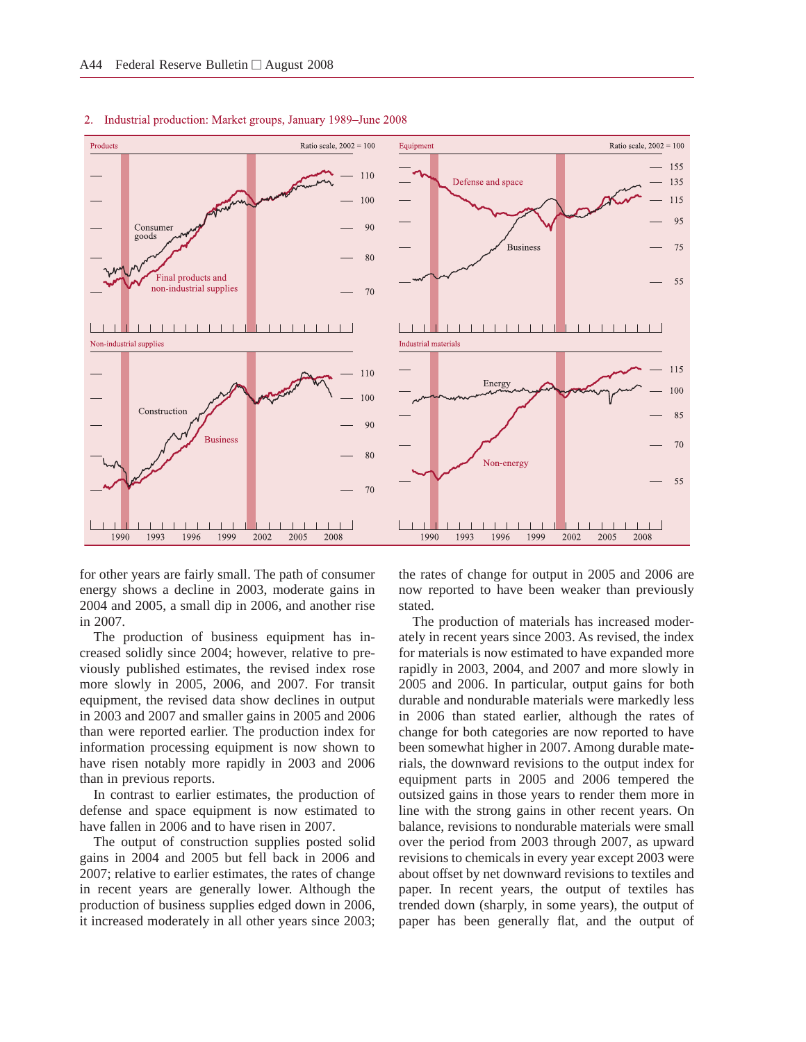

#### 2. Industrial production: Market groups, January 1989–June 2008

for other years are fairly small. The path of consumer energy shows a decline in 2003, moderate gains in 2004 and 2005, a small dip in 2006, and another rise in 2007.

The production of business equipment has increased solidly since 2004; however, relative to previously published estimates, the revised index rose more slowly in 2005, 2006, and 2007. For transit equipment, the revised data show declines in output in 2003 and 2007 and smaller gains in 2005 and 2006 than were reported earlier. The production index for information processing equipment is now shown to have risen notably more rapidly in 2003 and 2006 than in previous reports.

In contrast to earlier estimates, the production of defense and space equipment is now estimated to have fallen in 2006 and to have risen in 2007.

The output of construction supplies posted solid gains in 2004 and 2005 but fell back in 2006 and 2007; relative to earlier estimates, the rates of change in recent years are generally lower. Although the production of business supplies edged down in 2006, it increased moderately in all other years since 2003; the rates of change for output in 2005 and 2006 are now reported to have been weaker than previously stated.

The production of materials has increased moderately in recent years since 2003. As revised, the index for materials is now estimated to have expanded more rapidly in 2003, 2004, and 2007 and more slowly in 2005 and 2006. In particular, output gains for both durable and nondurable materials were markedly less in 2006 than stated earlier, although the rates of change for both categories are now reported to have been somewhat higher in 2007. Among durable materials, the downward revisions to the output index for equipment parts in 2005 and 2006 tempered the outsized gains in those years to render them more in line with the strong gains in other recent years. On balance, revisions to nondurable materials were small over the period from 2003 through 2007, as upward revisions to chemicals in every year except 2003 were about offset by net downward revisions to textiles and paper. In recent years, the output of textiles has trended down (sharply, in some years), the output of paper has been generally flat, and the output of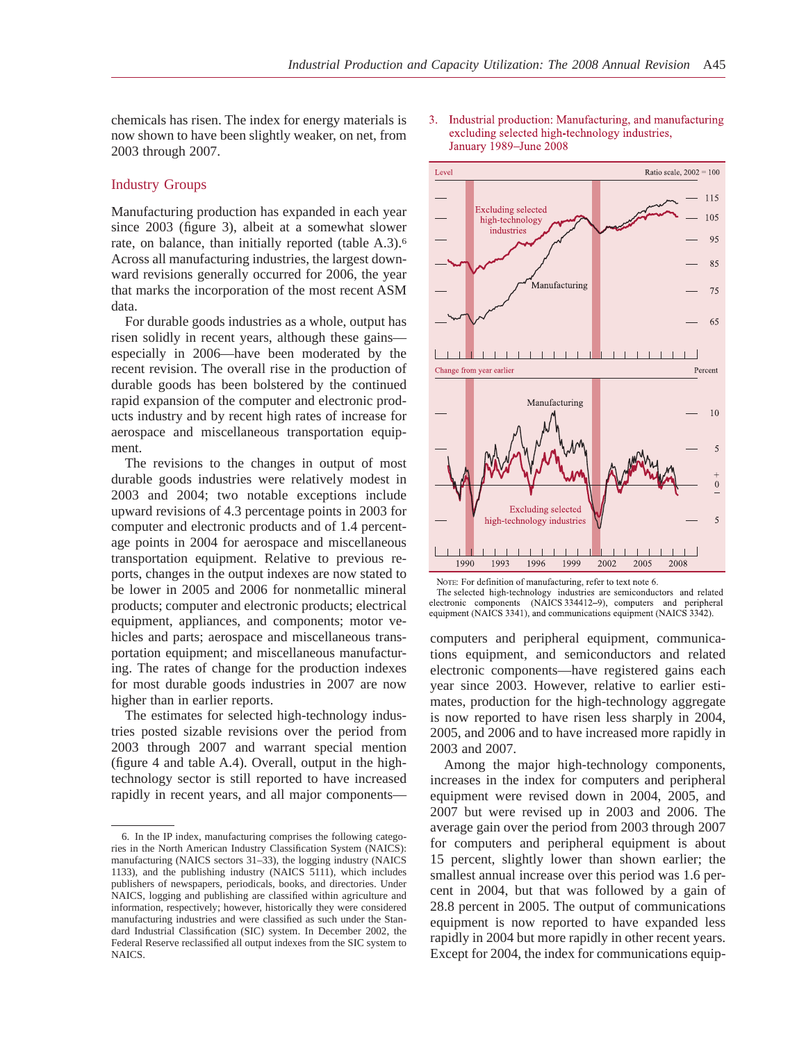chemicals has risen. The index for energy materials is now shown to have been slightly weaker, on net, from 2003 through 2007.

### Industry Groups

Manufacturing production has expanded in each year since 2003 (figure 3), albeit at a somewhat slower rate, on balance, than initially reported (table A.3).<sup>6</sup> Across all manufacturing industries, the largest downward revisions generally occurred for 2006, the year that marks the incorporation of the most recent ASM data.

For durable goods industries as a whole, output has risen solidly in recent years, although these gains especially in 2006—have been moderated by the recent revision. The overall rise in the production of durable goods has been bolstered by the continued rapid expansion of the computer and electronic products industry and by recent high rates of increase for aerospace and miscellaneous transportation equipment.

The revisions to the changes in output of most durable goods industries were relatively modest in 2003 and 2004; two notable exceptions include upward revisions of 4.3 percentage points in 2003 for computer and electronic products and of 1.4 percentage points in 2004 for aerospace and miscellaneous transportation equipment. Relative to previous reports, changes in the output indexes are now stated to be lower in 2005 and 2006 for nonmetallic mineral products; computer and electronic products; electrical equipment, appliances, and components; motor vehicles and parts; aerospace and miscellaneous transportation equipment; and miscellaneous manufacturing. The rates of change for the production indexes for most durable goods industries in 2007 are now higher than in earlier reports.

The estimates for selected high-technology industries posted sizable revisions over the period from 2003 through 2007 and warrant special mention (figure 4 and table A.4). Overall, output in the hightechnology sector is still reported to have increased rapidly in recent years, and all major components—





NOTE: For definition of manufacturing, refer to text note 6.

The selected high-technology industries are semiconductors and related electronic components (NAICS 334412-9), computers and peripheral equipment (NAICS 3341), and communications equipment (NAICS 3342).

computers and peripheral equipment, communications equipment, and semiconductors and related electronic components—have registered gains each year since 2003. However, relative to earlier estimates, production for the high-technology aggregate is now reported to have risen less sharply in 2004, 2005, and 2006 and to have increased more rapidly in 2003 and 2007.

Among the major high-technology components, increases in the index for computers and peripheral equipment were revised down in 2004, 2005, and 2007 but were revised up in 2003 and 2006. The average gain over the period from 2003 through 2007 for computers and peripheral equipment is about 15 percent, slightly lower than shown earlier; the smallest annual increase over this period was 1.6 percent in 2004, but that was followed by a gain of 28.8 percent in 2005. The output of communications equipment is now reported to have expanded less rapidly in 2004 but more rapidly in other recent years. Except for 2004, the index for communications equip-

<sup>6.</sup> In the IP index, manufacturing comprises the following categories in the North American Industry Classification System (NAICS): manufacturing (NAICS sectors 31–33), the logging industry (NAICS 1133), and the publishing industry (NAICS 5111), which includes publishers of newspapers, periodicals, books, and directories. Under NAICS, logging and publishing are classified within agriculture and information, respectively; however, historically they were considered manufacturing industries and were classified as such under the Standard Industrial Classification (SIC) system. In December 2002, the Federal Reserve reclassified all output indexes from the SIC system to NAICS.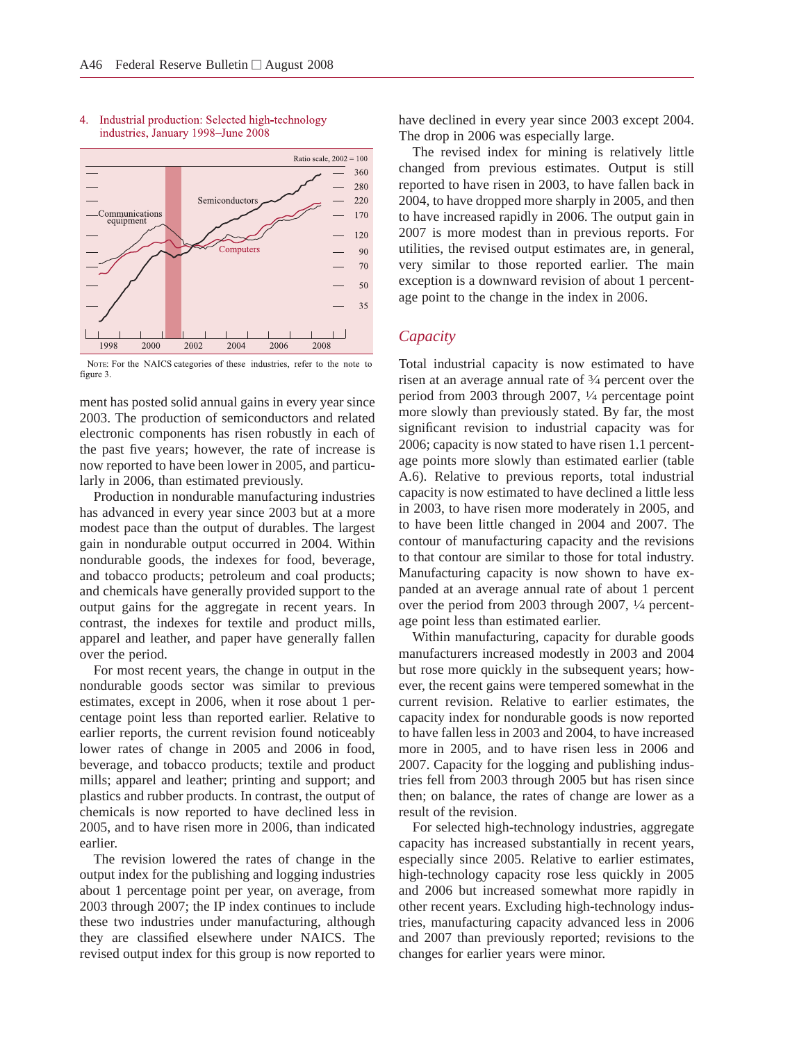

#### 4. Industrial production: Selected high-technology industries, January 1998-June 2008

NOTE: For the NAICS categories of these industries, refer to the note to figure 3.

ment has posted solid annual gains in every year since 2003. The production of semiconductors and related electronic components has risen robustly in each of the past five years; however, the rate of increase is now reported to have been lower in 2005, and particularly in 2006, than estimated previously.

Production in nondurable manufacturing industries has advanced in every year since 2003 but at a more modest pace than the output of durables. The largest gain in nondurable output occurred in 2004. Within nondurable goods, the indexes for food, beverage, and tobacco products; petroleum and coal products; and chemicals have generally provided support to the output gains for the aggregate in recent years. In contrast, the indexes for textile and product mills, apparel and leather, and paper have generally fallen over the period.

For most recent years, the change in output in the nondurable goods sector was similar to previous estimates, except in 2006, when it rose about 1 percentage point less than reported earlier. Relative to earlier reports, the current revision found noticeably lower rates of change in 2005 and 2006 in food, beverage, and tobacco products; textile and product mills; apparel and leather; printing and support; and plastics and rubber products. In contrast, the output of chemicals is now reported to have declined less in 2005, and to have risen more in 2006, than indicated earlier.

The revision lowered the rates of change in the output index for the publishing and logging industries about 1 percentage point per year, on average, from 2003 through 2007; the IP index continues to include these two industries under manufacturing, although they are classified elsewhere under NAICS. The revised output index for this group is now reported to have declined in every year since 2003 except 2004. The drop in 2006 was especially large.

The revised index for mining is relatively little changed from previous estimates. Output is still reported to have risen in 2003, to have fallen back in 2004, to have dropped more sharply in 2005, and then to have increased rapidly in 2006. The output gain in 2007 is more modest than in previous reports. For utilities, the revised output estimates are, in general, very similar to those reported earlier. The main exception is a downward revision of about 1 percentage point to the change in the index in 2006.

### *Capacity*

Total industrial capacity is now estimated to have risen at an average annual rate of 3⁄4 percent over the period from 2003 through 2007, 1⁄4 percentage point more slowly than previously stated. By far, the most significant revision to industrial capacity was for 2006; capacity is now stated to have risen 1.1 percentage points more slowly than estimated earlier (table A.6). Relative to previous reports, total industrial capacity is now estimated to have declined a little less in 2003, to have risen more moderately in 2005, and to have been little changed in 2004 and 2007. The contour of manufacturing capacity and the revisions to that contour are similar to those for total industry. Manufacturing capacity is now shown to have expanded at an average annual rate of about 1 percent over the period from 2003 through 2007, 1⁄4 percentage point less than estimated earlier.

Within manufacturing, capacity for durable goods manufacturers increased modestly in 2003 and 2004 but rose more quickly in the subsequent years; however, the recent gains were tempered somewhat in the current revision. Relative to earlier estimates, the capacity index for nondurable goods is now reported to have fallen less in 2003 and 2004, to have increased more in 2005, and to have risen less in 2006 and 2007. Capacity for the logging and publishing industries fell from 2003 through 2005 but has risen since then; on balance, the rates of change are lower as a result of the revision.

For selected high-technology industries, aggregate capacity has increased substantially in recent years, especially since 2005. Relative to earlier estimates, high-technology capacity rose less quickly in 2005 and 2006 but increased somewhat more rapidly in other recent years. Excluding high-technology industries, manufacturing capacity advanced less in 2006 and 2007 than previously reported; revisions to the changes for earlier years were minor.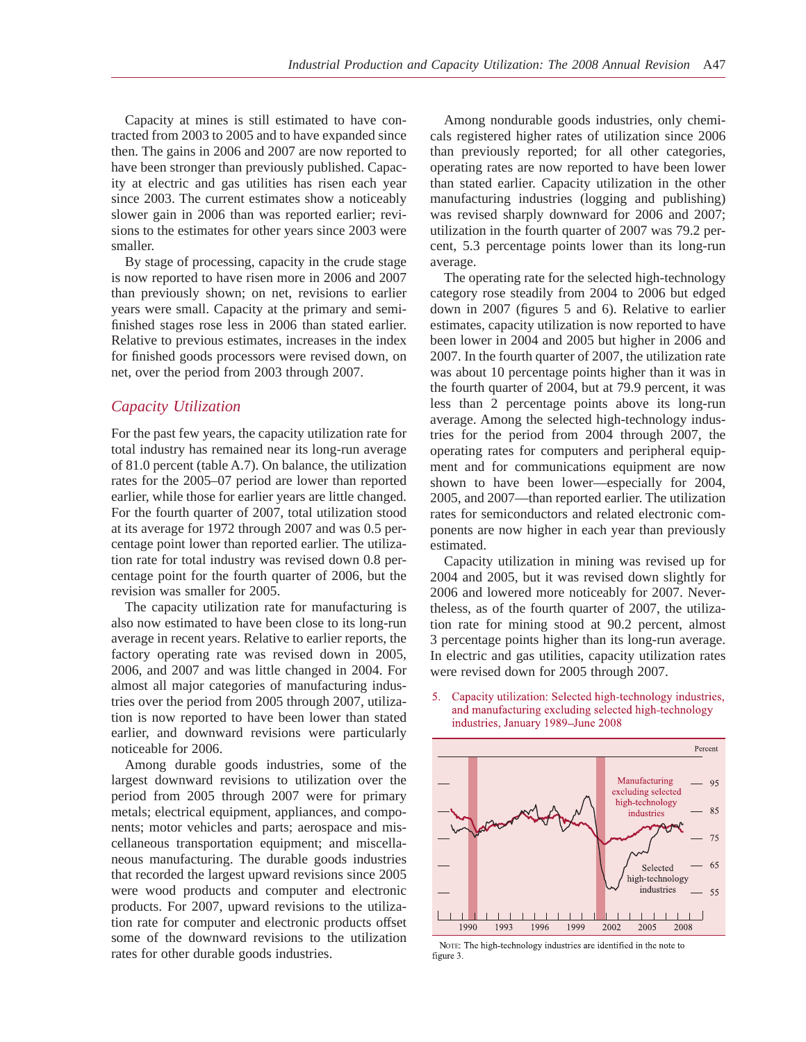Capacity at mines is still estimated to have contracted from 2003 to 2005 and to have expanded since then. The gains in 2006 and 2007 are now reported to have been stronger than previously published. Capacity at electric and gas utilities has risen each year since 2003. The current estimates show a noticeably slower gain in 2006 than was reported earlier; revisions to the estimates for other years since 2003 were smaller.

By stage of processing, capacity in the crude stage is now reported to have risen more in 2006 and 2007 than previously shown; on net, revisions to earlier years were small. Capacity at the primary and semifinished stages rose less in 2006 than stated earlier. Relative to previous estimates, increases in the index for finished goods processors were revised down, on net, over the period from 2003 through 2007.

# *Capacity Utilization*

For the past few years, the capacity utilization rate for total industry has remained near its long-run average of 81.0 percent (table A.7). On balance, the utilization rates for the 2005–07 period are lower than reported earlier, while those for earlier years are little changed. For the fourth quarter of 2007, total utilization stood at its average for 1972 through 2007 and was 0.5 percentage point lower than reported earlier. The utilization rate for total industry was revised down 0.8 percentage point for the fourth quarter of 2006, but the revision was smaller for 2005.

The capacity utilization rate for manufacturing is also now estimated to have been close to its long-run average in recent years. Relative to earlier reports, the factory operating rate was revised down in 2005, 2006, and 2007 and was little changed in 2004. For almost all major categories of manufacturing industries over the period from 2005 through 2007, utilization is now reported to have been lower than stated earlier, and downward revisions were particularly noticeable for 2006.

Among durable goods industries, some of the largest downward revisions to utilization over the period from 2005 through 2007 were for primary metals; electrical equipment, appliances, and components; motor vehicles and parts; aerospace and miscellaneous transportation equipment; and miscellaneous manufacturing. The durable goods industries that recorded the largest upward revisions since 2005 were wood products and computer and electronic products. For 2007, upward revisions to the utilization rate for computer and electronic products offset some of the downward revisions to the utilization rates for other durable goods industries.

Among nondurable goods industries, only chemicals registered higher rates of utilization since 2006 than previously reported; for all other categories, operating rates are now reported to have been lower than stated earlier. Capacity utilization in the other manufacturing industries (logging and publishing) was revised sharply downward for 2006 and 2007; utilization in the fourth quarter of 2007 was 79.2 percent, 5.3 percentage points lower than its long-run average.

The operating rate for the selected high-technology category rose steadily from 2004 to 2006 but edged down in 2007 (figures 5 and 6). Relative to earlier estimates, capacity utilization is now reported to have been lower in 2004 and 2005 but higher in 2006 and 2007. In the fourth quarter of 2007, the utilization rate was about 10 percentage points higher than it was in the fourth quarter of 2004, but at 79.9 percent, it was less than 2 percentage points above its long-run average. Among the selected high-technology industries for the period from 2004 through 2007, the operating rates for computers and peripheral equipment and for communications equipment are now shown to have been lower—especially for 2004, 2005, and 2007—than reported earlier. The utilization rates for semiconductors and related electronic components are now higher in each year than previously estimated.

Capacity utilization in mining was revised up for 2004 and 2005, but it was revised down slightly for 2006 and lowered more noticeably for 2007. Nevertheless, as of the fourth quarter of 2007, the utilization rate for mining stood at 90.2 percent, almost 3 percentage points higher than its long-run average. In electric and gas utilities, capacity utilization rates were revised down for 2005 through 2007.

5. Capacity utilization: Selected high-technology industries, and manufacturing excluding selected high-technology industries, January 1989-June 2008



NOTE: The high-technology industries are identified in the note to figure 3.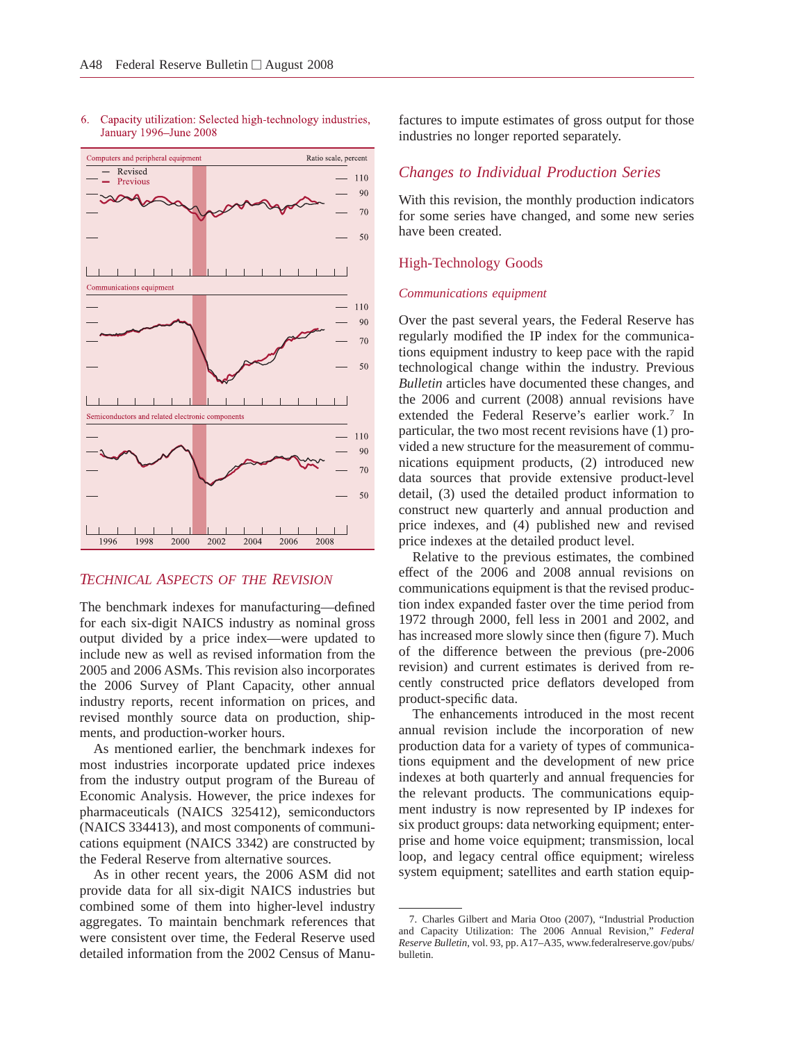

#### 6. Capacity utilization: Selected high-technology industries, January 1996–June 2008

# *TECHNICAL ASPECTS OF THE REVISION*

The benchmark indexes for manufacturing—defined for each six-digit NAICS industry as nominal gross output divided by a price index—were updated to include new as well as revised information from the 2005 and 2006 ASMs. This revision also incorporates the 2006 Survey of Plant Capacity, other annual industry reports, recent information on prices, and revised monthly source data on production, shipments, and production-worker hours.

As mentioned earlier, the benchmark indexes for most industries incorporate updated price indexes from the industry output program of the Bureau of Economic Analysis. However, the price indexes for pharmaceuticals (NAICS 325412), semiconductors (NAICS 334413), and most components of communications equipment (NAICS 3342) are constructed by the Federal Reserve from alternative sources.

As in other recent years, the 2006 ASM did not provide data for all six-digit NAICS industries but combined some of them into higher-level industry aggregates. To maintain benchmark references that were consistent over time, the Federal Reserve used detailed information from the 2002 Census of Manufactures to impute estimates of gross output for those industries no longer reported separately.

# *Changes to Individual Production Series*

With this revision, the monthly production indicators for some series have changed, and some new series have been created.

#### High-Technology Goods

#### *Communications equipment*

Over the past several years, the Federal Reserve has regularly modified the IP index for the communications equipment industry to keep pace with the rapid technological change within the industry. Previous *Bulletin* articles have documented these changes, and the 2006 and current (2008) annual revisions have extended the Federal Reserve's earlier work.7 In particular, the two most recent revisions have (1) provided a new structure for the measurement of communications equipment products, (2) introduced new data sources that provide extensive product-level detail, (3) used the detailed product information to construct new quarterly and annual production and price indexes, and (4) published new and revised price indexes at the detailed product level.

Relative to the previous estimates, the combined effect of the 2006 and 2008 annual revisions on communications equipment is that the revised production index expanded faster over the time period from 1972 through 2000, fell less in 2001 and 2002, and has increased more slowly since then (figure 7). Much of the difference between the previous (pre-2006 revision) and current estimates is derived from recently constructed price deflators developed from product-specific data.

The enhancements introduced in the most recent annual revision include the incorporation of new production data for a variety of types of communications equipment and the development of new price indexes at both quarterly and annual frequencies for the relevant products. The communications equipment industry is now represented by IP indexes for six product groups: data networking equipment; enterprise and home voice equipment; transmission, local loop, and legacy central office equipment; wireless system equipment; satellites and earth station equip-

<sup>7.</sup> Charles Gilbert and Maria Otoo (2007), "Industrial Production and Capacity Utilization: The 2006 Annual Revision," *Federal Reserve Bulletin*, vol. 93, pp. A17–A35, www.federalreserve.gov/pubs/ bulletin.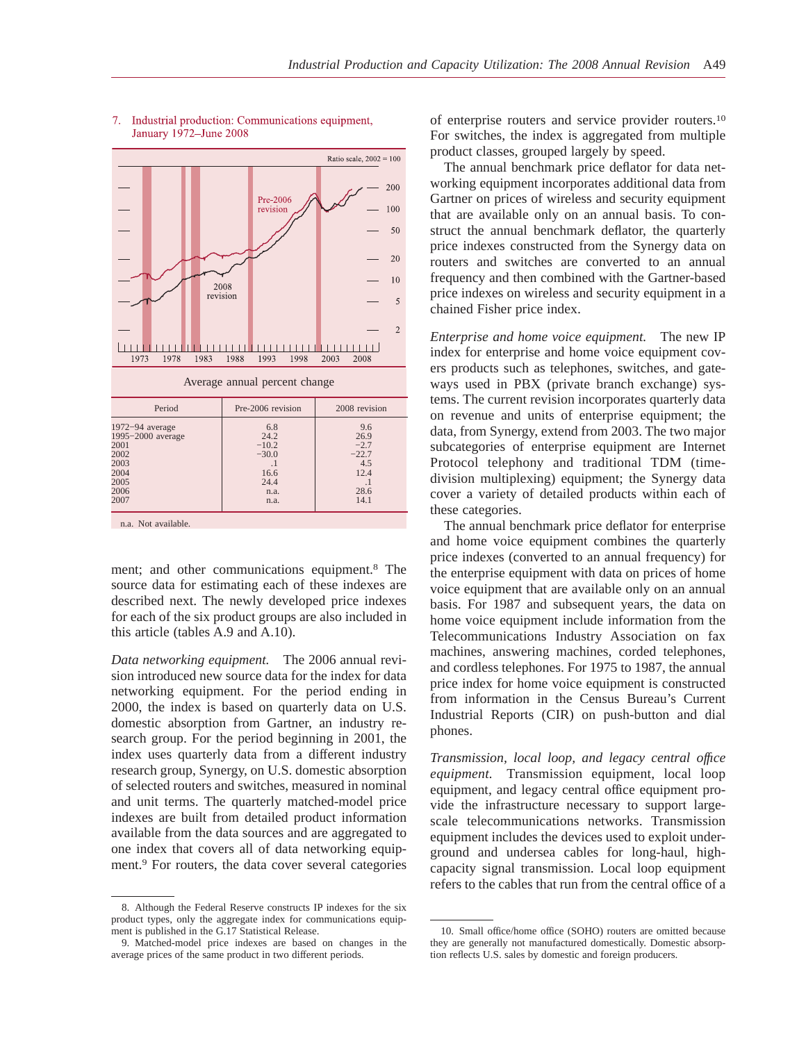

#### 7. Industrial production: Communications equipment, January 1972-June 2008

ment; and other communications equipment.8 The source data for estimating each of these indexes are described next. The newly developed price indexes for each of the six product groups are also included in this article (tables A.9 and A.10).

*Data networking equipment.* The 2006 annual revision introduced new source data for the index for data networking equipment. For the period ending in 2000, the index is based on quarterly data on U.S. domestic absorption from Gartner, an industry research group. For the period beginning in 2001, the index uses quarterly data from a different industry research group, Synergy, on U.S. domestic absorption of selected routers and switches, measured in nominal and unit terms. The quarterly matched-model price indexes are built from detailed product information available from the data sources and are aggregated to one index that covers all of data networking equipment.9 For routers, the data cover several categories

of enterprise routers and service provider routers.10 For switches, the index is aggregated from multiple product classes, grouped largely by speed.

The annual benchmark price deflator for data networking equipment incorporates additional data from Gartner on prices of wireless and security equipment that are available only on an annual basis. To construct the annual benchmark deflator, the quarterly price indexes constructed from the Synergy data on routers and switches are converted to an annual frequency and then combined with the Gartner-based price indexes on wireless and security equipment in a chained Fisher price index.

*Enterprise and home voice equipment.* The new IP index for enterprise and home voice equipment covers products such as telephones, switches, and gateways used in PBX (private branch exchange) systems. The current revision incorporates quarterly data on revenue and units of enterprise equipment; the data, from Synergy, extend from 2003. The two major subcategories of enterprise equipment are Internet Protocol telephony and traditional TDM (timedivision multiplexing) equipment; the Synergy data cover a variety of detailed products within each of these categories.

The annual benchmark price deflator for enterprise and home voice equipment combines the quarterly price indexes (converted to an annual frequency) for the enterprise equipment with data on prices of home voice equipment that are available only on an annual basis. For 1987 and subsequent years, the data on home voice equipment include information from the Telecommunications Industry Association on fax machines, answering machines, corded telephones, and cordless telephones. For 1975 to 1987, the annual price index for home voice equipment is constructed from information in the Census Bureau's Current Industrial Reports (CIR) on push-button and dial phones.

*Transmission, local loop, and legacy central offıce equipment.* Transmission equipment, local loop equipment, and legacy central office equipment provide the infrastructure necessary to support largescale telecommunications networks. Transmission equipment includes the devices used to exploit underground and undersea cables for long-haul, highcapacity signal transmission. Local loop equipment refers to the cables that run from the central office of a

<sup>8.</sup> Although the Federal Reserve constructs IP indexes for the six product types, only the aggregate index for communications equipment is published in the G.17 Statistical Release.

<sup>9.</sup> Matched-model price indexes are based on changes in the average prices of the same product in two different periods.

<sup>10.</sup> Small office/home office (SOHO) routers are omitted because they are generally not manufactured domestically. Domestic absorption reflects U.S. sales by domestic and foreign producers.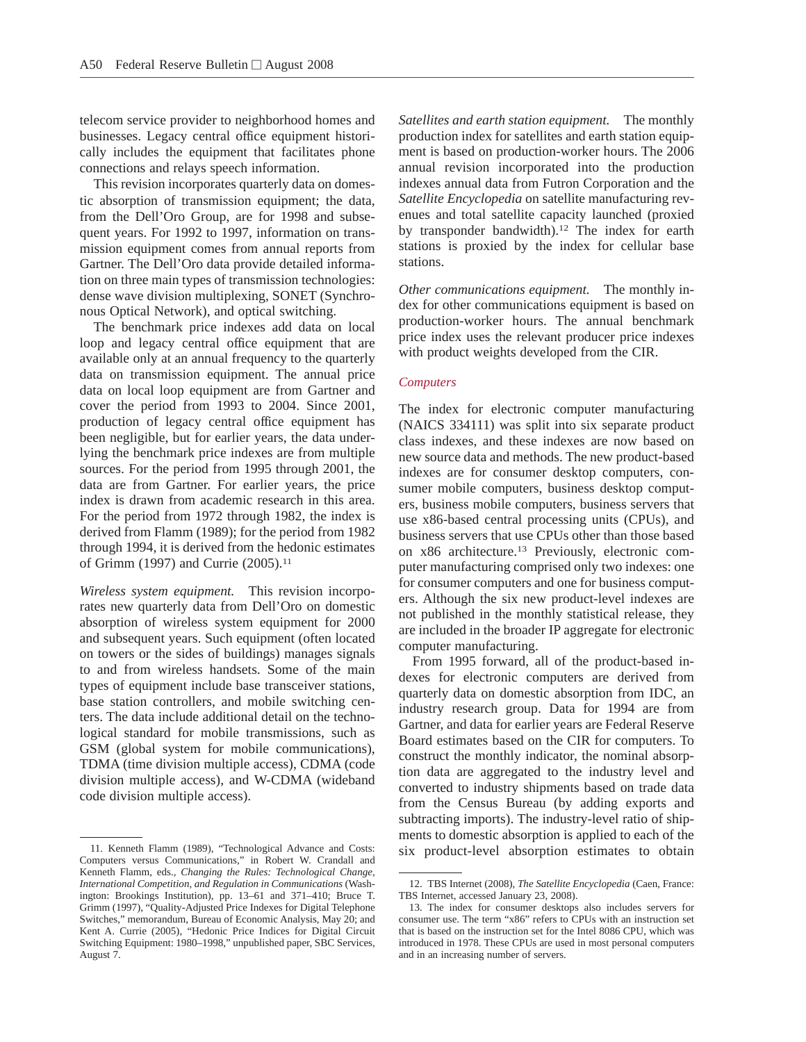telecom service provider to neighborhood homes and businesses. Legacy central office equipment historically includes the equipment that facilitates phone connections and relays speech information.

This revision incorporates quarterly data on domestic absorption of transmission equipment; the data, from the Dell'Oro Group, are for 1998 and subsequent years. For 1992 to 1997, information on transmission equipment comes from annual reports from Gartner. The Dell'Oro data provide detailed information on three main types of transmission technologies: dense wave division multiplexing, SONET (Synchronous Optical Network), and optical switching.

The benchmark price indexes add data on local loop and legacy central office equipment that are available only at an annual frequency to the quarterly data on transmission equipment. The annual price data on local loop equipment are from Gartner and cover the period from 1993 to 2004. Since 2001, production of legacy central office equipment has been negligible, but for earlier years, the data underlying the benchmark price indexes are from multiple sources. For the period from 1995 through 2001, the data are from Gartner. For earlier years, the price index is drawn from academic research in this area. For the period from 1972 through 1982, the index is derived from Flamm (1989); for the period from 1982 through 1994, it is derived from the hedonic estimates of Grimm (1997) and Currie (2005).11

*Wireless system equipment.* This revision incorporates new quarterly data from Dell'Oro on domestic absorption of wireless system equipment for 2000 and subsequent years. Such equipment (often located on towers or the sides of buildings) manages signals to and from wireless handsets. Some of the main types of equipment include base transceiver stations, base station controllers, and mobile switching centers. The data include additional detail on the technological standard for mobile transmissions, such as GSM (global system for mobile communications), TDMA (time division multiple access), CDMA (code division multiple access), and W-CDMA (wideband code division multiple access).

11. Kenneth Flamm (1989), "Technological Advance and Costs: six product-level absorption estimates to obtain Computers versus Communications," in Robert W. Crandall and Kenneth Flamm, eds., *Changing the Rules: Technological Change, International Competition, and Regulation in Communications* (Washington: Brookings Institution), pp. 13–61 and 371–410; Bruce T. Grimm (1997), "Quality-Adjusted Price Indexes for Digital Telephone Switches," memorandum, Bureau of Economic Analysis, May 20; and Kent A. Currie (2005), "Hedonic Price Indices for Digital Circuit Switching Equipment: 1980–1998," unpublished paper, SBC Services, August 7.

*Satellites and earth station equipment.* The monthly production index for satellites and earth station equipment is based on production-worker hours. The 2006 annual revision incorporated into the production indexes annual data from Futron Corporation and the *Satellite Encyclopedia* on satellite manufacturing revenues and total satellite capacity launched (proxied by transponder bandwidth).12 The index for earth stations is proxied by the index for cellular base stations.

*Other communications equipment.* The monthly index for other communications equipment is based on production-worker hours. The annual benchmark price index uses the relevant producer price indexes with product weights developed from the CIR.

## *Computers*

The index for electronic computer manufacturing (NAICS 334111) was split into six separate product class indexes, and these indexes are now based on new source data and methods. The new product-based indexes are for consumer desktop computers, consumer mobile computers, business desktop computers, business mobile computers, business servers that use x86-based central processing units (CPUs), and business servers that use CPUs other than those based on x86 architecture.13 Previously, electronic computer manufacturing comprised only two indexes: one for consumer computers and one for business computers. Although the six new product-level indexes are not published in the monthly statistical release, they are included in the broader IP aggregate for electronic computer manufacturing.

From 1995 forward, all of the product-based indexes for electronic computers are derived from quarterly data on domestic absorption from IDC, an industry research group. Data for 1994 are from Gartner, and data for earlier years are Federal Reserve Board estimates based on the CIR for computers. To construct the monthly indicator, the nominal absorption data are aggregated to the industry level and converted to industry shipments based on trade data from the Census Bureau (by adding exports and subtracting imports). The industry-level ratio of shipments to domestic absorption is applied to each of the

<sup>12.</sup> TBS Internet (2008), *The Satellite Encyclopedia* (Caen, France: TBS Internet, accessed January 23, 2008).

<sup>13.</sup> The index for consumer desktops also includes servers for consumer use. The term "x86" refers to CPUs with an instruction set that is based on the instruction set for the Intel 8086 CPU, which was introduced in 1978. These CPUs are used in most personal computers and in an increasing number of servers.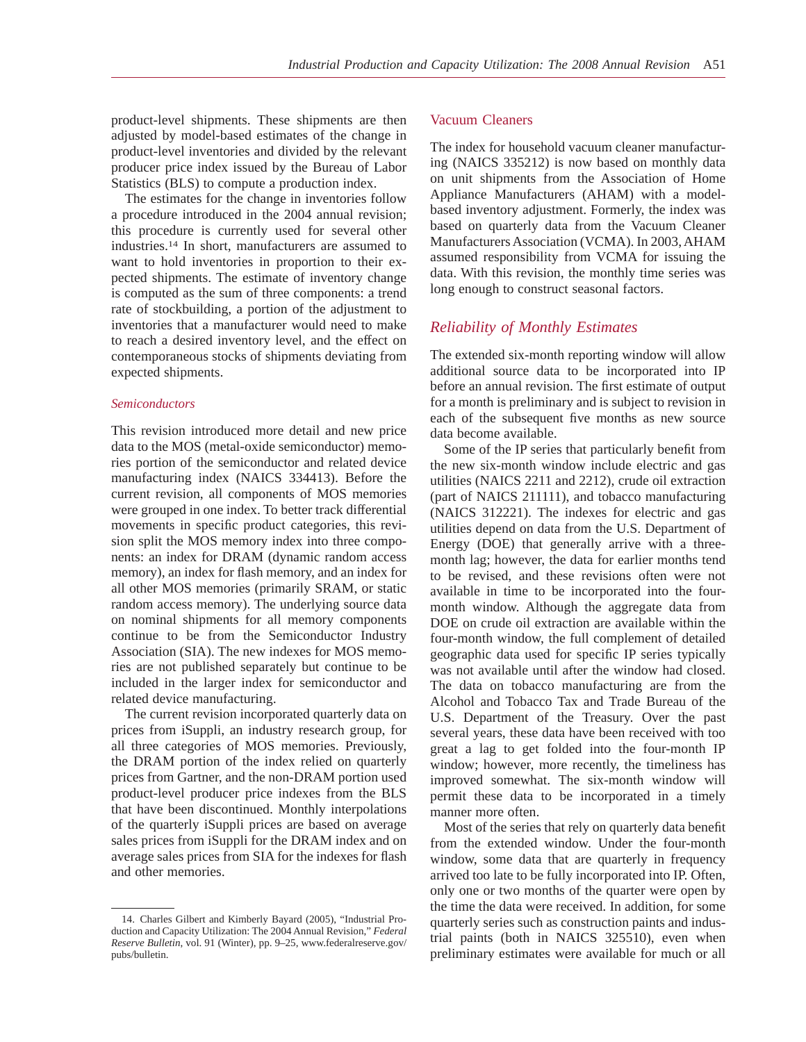product-level shipments. These shipments are then adjusted by model-based estimates of the change in product-level inventories and divided by the relevant producer price index issued by the Bureau of Labor Statistics (BLS) to compute a production index.

The estimates for the change in inventories follow a procedure introduced in the 2004 annual revision; this procedure is currently used for several other industries.14 In short, manufacturers are assumed to want to hold inventories in proportion to their expected shipments. The estimate of inventory change is computed as the sum of three components: a trend rate of stockbuilding, a portion of the adjustment to inventories that a manufacturer would need to make to reach a desired inventory level, and the effect on contemporaneous stocks of shipments deviating from expected shipments.

## *Semiconductors*

This revision introduced more detail and new price data to the MOS (metal-oxide semiconductor) memories portion of the semiconductor and related device manufacturing index (NAICS 334413). Before the current revision, all components of MOS memories were grouped in one index. To better track differential movements in specific product categories, this revision split the MOS memory index into three components: an index for DRAM (dynamic random access memory), an index for flash memory, and an index for all other MOS memories (primarily SRAM, or static random access memory). The underlying source data on nominal shipments for all memory components continue to be from the Semiconductor Industry Association (SIA). The new indexes for MOS memories are not published separately but continue to be included in the larger index for semiconductor and related device manufacturing.

The current revision incorporated quarterly data on prices from iSuppli, an industry research group, for all three categories of MOS memories. Previously, the DRAM portion of the index relied on quarterly prices from Gartner, and the non-DRAM portion used product-level producer price indexes from the BLS that have been discontinued. Monthly interpolations of the quarterly iSuppli prices are based on average sales prices from iSuppli for the DRAM index and on average sales prices from SIA for the indexes for flash and other memories.

#### Vacuum Cleaners

The index for household vacuum cleaner manufacturing (NAICS 335212) is now based on monthly data on unit shipments from the Association of Home Appliance Manufacturers (AHAM) with a modelbased inventory adjustment. Formerly, the index was based on quarterly data from the Vacuum Cleaner Manufacturers Association (VCMA). In 2003, AHAM assumed responsibility from VCMA for issuing the data. With this revision, the monthly time series was long enough to construct seasonal factors.

## *Reliability of Monthly Estimates*

The extended six-month reporting window will allow additional source data to be incorporated into IP before an annual revision. The first estimate of output for a month is preliminary and is subject to revision in each of the subsequent five months as new source data become available.

Some of the IP series that particularly benefit from the new six-month window include electric and gas utilities (NAICS 2211 and 2212), crude oil extraction (part of NAICS 211111), and tobacco manufacturing (NAICS 312221). The indexes for electric and gas utilities depend on data from the U.S. Department of Energy (DOE) that generally arrive with a threemonth lag; however, the data for earlier months tend to be revised, and these revisions often were not available in time to be incorporated into the fourmonth window. Although the aggregate data from DOE on crude oil extraction are available within the four-month window, the full complement of detailed geographic data used for specific IP series typically was not available until after the window had closed. The data on tobacco manufacturing are from the Alcohol and Tobacco Tax and Trade Bureau of the U.S. Department of the Treasury. Over the past several years, these data have been received with too great a lag to get folded into the four-month IP window; however, more recently, the timeliness has improved somewhat. The six-month window will permit these data to be incorporated in a timely manner more often.

Most of the series that rely on quarterly data benefit from the extended window. Under the four-month window, some data that are quarterly in frequency arrived too late to be fully incorporated into IP. Often, only one or two months of the quarter were open by the time the data were received. In addition, for some quarterly series such as construction paints and industrial paints (both in NAICS 325510), even when preliminary estimates were available for much or all

<sup>14.</sup> Charles Gilbert and Kimberly Bayard (2005), "Industrial Production and Capacity Utilization: The 2004 Annual Revision," *Federal Reserve Bulletin*, vol. 91 (Winter), pp. 9–25, www.federalreserve.gov/ pubs/bulletin.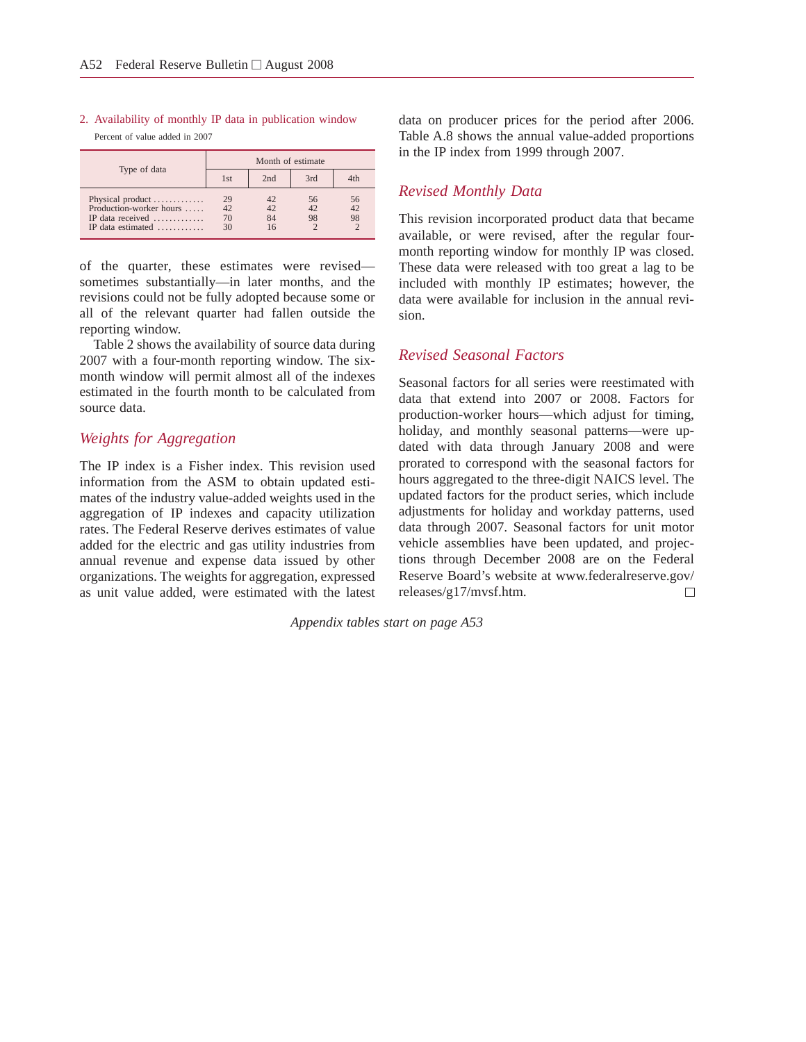## 2. Availability of monthly IP data in publication window Percent of value added in 2007

| Type of data                                                                                                      |                          |                | Month of estimate |                |
|-------------------------------------------------------------------------------------------------------------------|--------------------------|----------------|-------------------|----------------|
|                                                                                                                   | 1st                      | 2nd            | 3rd               | 4th            |
| Physical product<br>Production-worker hours<br>IP data received $\dots \dots \dots$<br>IP data estimated $\ldots$ | $^{29}_{42}$<br>70<br>30 | 42<br>42<br>84 | 56<br>98          | 56<br>42<br>98 |

of the quarter, these estimates were revised sometimes substantially—in later months, and the revisions could not be fully adopted because some or all of the relevant quarter had fallen outside the reporting window.

Table 2 shows the availability of source data during 2007 with a four-month reporting window. The sixmonth window will permit almost all of the indexes estimated in the fourth month to be calculated from source data.

# *Weights for Aggregation*

The IP index is a Fisher index. This revision used information from the ASM to obtain updated estimates of the industry value-added weights used in the aggregation of IP indexes and capacity utilization rates. The Federal Reserve derives estimates of value added for the electric and gas utility industries from annual revenue and expense data issued by other organizations. The weights for aggregation, expressed as unit value added, were estimated with the latest data on producer prices for the period after 2006. Table A.8 shows the annual value-added proportions in the IP index from 1999 through 2007.

# *Revised Monthly Data*

This revision incorporated product data that became available, or were revised, after the regular fourmonth reporting window for monthly IP was closed. These data were released with too great a lag to be included with monthly IP estimates; however, the data were available for inclusion in the annual revision.

# *Revised Seasonal Factors*

Seasonal factors for all series were reestimated with data that extend into 2007 or 2008. Factors for production-worker hours—which adjust for timing, holiday, and monthly seasonal patterns—were updated with data through January 2008 and were prorated to correspond with the seasonal factors for hours aggregated to the three-digit NAICS level. The updated factors for the product series, which include adjustments for holiday and workday patterns, used data through 2007. Seasonal factors for unit motor vehicle assemblies have been updated, and projections through December 2008 are on the Federal Reserve Board's website at www.federalreserve.gov/ releases/g17/mvsf.htm.  $\Box$ 

*Appendix tables start on page A53*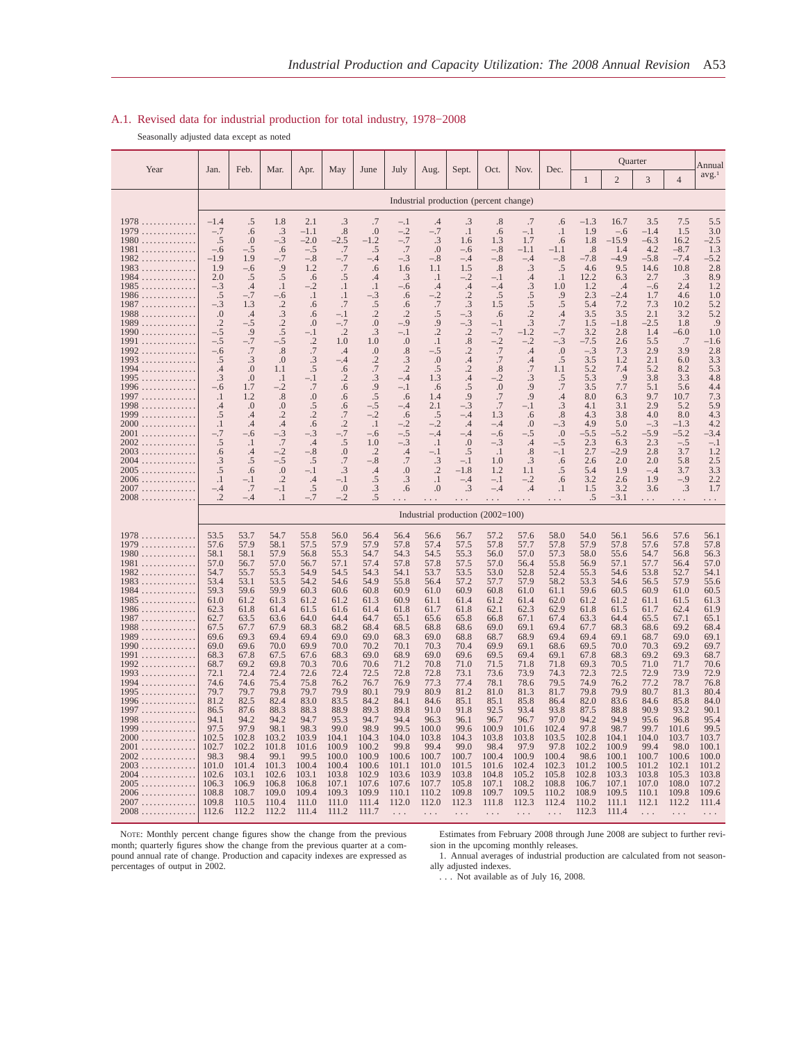#### A.1. Revised data for industrial production for total industry, 1978−2008

Seasonally adjusted data except as noted

|                                                                                                                                                                                                                                                                                                                                                        | Quarter<br>Feb.<br>Mar.<br>May<br>July<br>Nov.<br>Dec.<br>Jan.<br>Apr.<br>June<br>Aug.<br>Sept.<br>Oct.                                                                                                                                                                                       |                                                                                                                                                                                                                                                              |                                                                                                                                                                                                                                                              |                                                                                                                                                                                                                                                              |                                                                                                                                                                                                                                                                     |                                                                                                                                                                                                                                                                          |                                                                                                                                                                                                                                                     |                                                                                                                                                                                                                                                      |                                                                                                                                                                                                                                                            | Annual                                                                                                                                                                                                                                                             |                                                                                                                                                                                                                                                                |                                                                                                                                                                                                                                                      |                                                                                                                                                                                                                                                              |                                                                                                                                                                                                                                                               |                                                                                                                                                                                                                                                     |                                                                                                                                                                                                                                                      |                                                                                                                                                                                                                                                      |
|--------------------------------------------------------------------------------------------------------------------------------------------------------------------------------------------------------------------------------------------------------------------------------------------------------------------------------------------------------|-----------------------------------------------------------------------------------------------------------------------------------------------------------------------------------------------------------------------------------------------------------------------------------------------|--------------------------------------------------------------------------------------------------------------------------------------------------------------------------------------------------------------------------------------------------------------|--------------------------------------------------------------------------------------------------------------------------------------------------------------------------------------------------------------------------------------------------------------|--------------------------------------------------------------------------------------------------------------------------------------------------------------------------------------------------------------------------------------------------------------|---------------------------------------------------------------------------------------------------------------------------------------------------------------------------------------------------------------------------------------------------------------------|--------------------------------------------------------------------------------------------------------------------------------------------------------------------------------------------------------------------------------------------------------------------------|-----------------------------------------------------------------------------------------------------------------------------------------------------------------------------------------------------------------------------------------------------|------------------------------------------------------------------------------------------------------------------------------------------------------------------------------------------------------------------------------------------------------|------------------------------------------------------------------------------------------------------------------------------------------------------------------------------------------------------------------------------------------------------------|--------------------------------------------------------------------------------------------------------------------------------------------------------------------------------------------------------------------------------------------------------------------|----------------------------------------------------------------------------------------------------------------------------------------------------------------------------------------------------------------------------------------------------------------|------------------------------------------------------------------------------------------------------------------------------------------------------------------------------------------------------------------------------------------------------|--------------------------------------------------------------------------------------------------------------------------------------------------------------------------------------------------------------------------------------------------------------|---------------------------------------------------------------------------------------------------------------------------------------------------------------------------------------------------------------------------------------------------------------|-----------------------------------------------------------------------------------------------------------------------------------------------------------------------------------------------------------------------------------------------------|------------------------------------------------------------------------------------------------------------------------------------------------------------------------------------------------------------------------------------------------------|------------------------------------------------------------------------------------------------------------------------------------------------------------------------------------------------------------------------------------------------------|
| Year                                                                                                                                                                                                                                                                                                                                                   |                                                                                                                                                                                                                                                                                               |                                                                                                                                                                                                                                                              |                                                                                                                                                                                                                                                              |                                                                                                                                                                                                                                                              |                                                                                                                                                                                                                                                                     |                                                                                                                                                                                                                                                                          |                                                                                                                                                                                                                                                     |                                                                                                                                                                                                                                                      |                                                                                                                                                                                                                                                            |                                                                                                                                                                                                                                                                    |                                                                                                                                                                                                                                                                |                                                                                                                                                                                                                                                      | 1                                                                                                                                                                                                                                                            | $\overline{2}$                                                                                                                                                                                                                                                | 3                                                                                                                                                                                                                                                   | $\overline{4}$                                                                                                                                                                                                                                       | avg. <sup>1</sup>                                                                                                                                                                                                                                    |
|                                                                                                                                                                                                                                                                                                                                                        |                                                                                                                                                                                                                                                                                               |                                                                                                                                                                                                                                                              |                                                                                                                                                                                                                                                              |                                                                                                                                                                                                                                                              |                                                                                                                                                                                                                                                                     |                                                                                                                                                                                                                                                                          |                                                                                                                                                                                                                                                     | Industrial production (percent change)                                                                                                                                                                                                               |                                                                                                                                                                                                                                                            |                                                                                                                                                                                                                                                                    |                                                                                                                                                                                                                                                                |                                                                                                                                                                                                                                                      |                                                                                                                                                                                                                                                              |                                                                                                                                                                                                                                                               |                                                                                                                                                                                                                                                     |                                                                                                                                                                                                                                                      |                                                                                                                                                                                                                                                      |
| 1978<br>1979<br>$1980$<br>1981<br>$1982$<br>$1983$<br>$1984$<br>$1985$<br>$1986$<br>$1987 \ldots \ldots \ldots \ldots$<br>$1988$<br>$1989$<br>1990<br>1991<br>.<br>1992<br>$1993$<br>1994<br>$1995$<br>$1996 \ldots$<br>1997<br>$1998$<br>$1999$<br>$2000$<br>$2001$<br>$2002$<br>$2003$<br>$2004$<br>$2005$<br>2006<br>$2007\ldots\ldots\ldots\ldots$ | $-1.4$<br>$-.7$<br>$.5\,$<br>$-.6$<br>$-1.9$<br>1.9<br>2.0<br>$-.3$<br>.5<br>$-.3$<br>0.<br>$\cdot$ .2<br>$-.5$<br>$-.5$<br>$-.6$<br>.5<br>$\cdot$ 4<br>$\cdot$ 3<br>$-.6$<br>$\cdot$<br>$\cdot$<br>.5<br>$\cdot$ 1<br>$-.7$<br>.5<br>.6<br>$\cdot$ 3<br>.5<br>$\cdot$<br>$-.4$<br>$\cdot$ .2 | .5<br>.6<br>.0<br>-.5<br>1.9<br>$-.6$<br>.5<br>.4<br>$-.7$<br>1.3<br>.4<br>-.5<br>.9<br>$-.7$<br>$.7\,$<br>$\cdot$ 3<br>.0<br>$\boldsymbol{0}$<br>1.7<br>1.2<br>.0<br>.4<br>.4<br>-.6<br>$\cdot$<br>.4<br>.5<br>.6<br>$-.1$<br>.7<br>$-.4$                   | 1.8<br>.3<br>$-.3$<br>.6<br>$-.7$<br>.9<br>$.5\,$<br>$\cdot$<br>$-.6$<br>$\cdot$ .2<br>.3<br>$\cdot$ .2<br>$.5\,$<br>$-.5$<br>.8<br>.0<br>1.1<br>$\cdot$<br>$-.2$<br>.8<br>$_{0}$<br>$\cdot$<br>.4<br>$-3$<br>.7<br>$-.2$<br>$-.5$<br>0.<br>$\cdot$<br>$-.1$ | 2.1<br>-1.1<br>$-2.0$<br>$-.5$<br>$-.8$<br>1.2<br>.6<br>$-.2$<br>$\cdot$<br>.6<br>.6<br>.0<br>$-.1$<br>$\cdot$ .2<br>.7<br>.3<br>.5<br>$^{-1}$<br>.7<br>$.0\,$<br>.5<br>$\cdot$ .2<br>.6<br>-.3<br>.4<br>$-.8$<br>.5<br>$-.1$<br>$\cdot$ 4<br>.5<br>$-.7$    | .3<br>.8<br>$-2.5$<br>.7<br>$-.7$<br>.7<br>.5<br>$\cdot$ 1<br>$\cdot$ 1<br>.7<br>-.1<br>$-.7$<br>$\cdot$ .2<br>1.0<br>$\cdot$ 4<br>$^{-.4}$<br>.6<br>$\cdot$<br>.6<br>.6<br>.6<br>$\cdot$ 7<br>$\cdot$<br>$-0.7$<br>.5<br>0.<br>.7<br>.3<br>$^{-.1}$<br>.0<br>$-.2$ | .7<br>.0<br>$-1.2$<br>.5<br>$-.4$<br>.6<br>$\cdot$ 4<br>$\cdot$ 1<br>$-.3$<br>.5<br>$\cdot$ .2<br>.0<br>.3<br>1.0<br>$\Omega$<br>$\cdot$<br>.7<br>$\cdot$ 3<br>.9<br>$.5\,$<br>$-.5$<br>$-2$<br>$\cdot$ 1<br>$-.6$<br>1.0<br>$\cdot$ .2<br>$-.8$<br>.4<br>.5<br>.3<br>.5 | $-.1$<br>$-2$<br>$-7$<br>.7<br>$-.3$<br>1.6<br>.3<br>$-.6$<br>.6<br>.6<br>$\cdot$ .2<br>$-9$<br>$-.1$<br>$\cdot$<br>$\frac{.8}{.3}$<br>$\cdot$<br>$-.4$<br>$-.1$<br>.6<br>-.4<br>.6<br>$-2$<br>$-5$<br>$-.3$<br>.4.7<br>0.<br>.3<br>.6              | .4<br>$-.7$<br>.3<br>.0<br>$-.8$<br>1.1<br>$\cdot$<br>.4<br>$-.2$<br>.7<br>.5<br>.9<br>$\cdot$<br>$\cdot$ 1<br>$-.5$<br>.0<br>.5<br>1.3<br>.6<br>1.4<br>2.1<br>.5<br>$-.2$<br>$-.4$<br>$\cdot$ 1<br>$-.1$<br>.3<br>$\cdot$ .2<br>$\cdot$<br>.0       | .3<br>$\cdot$<br>1.6<br>$-.6$<br>$-.4$<br>1.5<br>$-.2$<br>$\cdot$ 4<br>$\cdot$ .2<br>.3<br>$-.3$<br>$-.3$<br>$\overset{.2}{.8}$<br>$\cdot$<br>.4<br>$\cdot$<br>.4<br>.5<br>.9<br>$-.3$<br>-.4<br>.4<br>$-.4$<br>.0<br>.5<br>$-.1$<br>$-1.8$<br>$-.4$<br>.3 | $.8\,$<br>.6<br>1.3<br>$-.8$<br>$-.8$<br>.8<br>$-.1$<br>$-.4$<br>.5<br>1.5<br>.6<br>$-.1$<br>$-2$<br>$-2$<br>$-7$<br>$-7$<br>$\boldsymbol{\cdot}8$<br>$-.2$<br>$.0\,$<br>$.7\,$<br>.7<br>1.3<br>$-.4$<br>$-.6$<br>$-.3$<br>$\cdot$<br>1.0<br>1.2<br>$-.1$<br>$-.4$ | .7<br>$-.1$<br>1.7<br>$-1.1$<br>$-.4$<br>.3<br>$\mathcal{A}$<br>.3<br>.5<br>.5<br>$\cdot$<br>$\overline{.}3$<br>$-1.2$<br>$-2$<br>$\mathcal{A}$<br>$\cdot$<br>.7<br>.3<br>.9<br>.9<br>-. 1<br>.6<br>.0<br>$-.5$<br>.4<br>.8<br>.3<br>1.1<br>$-.2$<br>$\cdot$ 4 | .6<br>$\cdot$<br>.6<br>-1.1<br>$-.8$<br>.5<br>$\cdot$<br>1.0<br>.9<br>.5<br>.4<br>.7<br>$-.7$<br>$-.3$<br>.0<br>.5<br>1.1<br>.5<br>.7<br>.4<br>.3<br>.8<br>-.3<br>0.<br>$-.5$<br>$-.1$<br>.6<br>.5<br>.6<br>$\cdot$                                  | $-1.3$<br>1.9<br>1.8<br>.8<br>$-7.8$<br>4.6<br>12.2<br>1.2<br>2.3<br>5.4<br>3.5<br>1.5<br>3.2<br>$-7.5$<br>$-.3$<br>3.5<br>5.2<br>5.3<br>3.5<br>8.0<br>4.1<br>4.3<br>4.9<br>$-5.5$<br>2.3<br>2.7<br>2.6<br>5.4<br>3.2<br>1.5<br>.5                           | 16.7<br>$-.6$<br>$-15.9$<br>1.4<br>$-4.9$<br>9.5<br>6.3<br>.4<br>$-2.4$<br>7.2<br>3.5<br>$-1.8$<br>2.8<br>2.6<br>7.3<br>1.2<br>7.4<br>.9<br>7.7<br>6.3<br>3.1<br>3.8<br>5.0<br>$-5.2$<br>6.3<br>$-2.9$<br>2.0<br>1.9<br>2.6<br>3.2<br>$-3.1$                  | 3.5<br>$-1.4$<br>$-6.3$<br>4.2<br>$-5.8$<br>14.6<br>2.7<br>$-.6$<br>1.7<br>7.3<br>2.1<br>$-2.5$<br>1.4<br>5.5<br>2.9<br>2.1<br>5.2<br>3.8<br>5.1<br>9.7<br>2.9<br>4.0<br>$-.3$<br>$-5.9$<br>2.3<br>2.8<br>2.0<br>$-.4$<br>1.9<br>3.6                | 7.5<br>1.5<br>16.2<br>$-8.7$<br>$-7.4$<br>10.8<br>$\cdot$ 3<br>2.4<br>4.6<br>10.2<br>3.2<br>1.8<br>$-6.0$<br>.7<br>3.9<br>6.0<br>8.2<br>3.3<br>5.6<br>10.7<br>5.2<br>8.0<br>$-1.3$<br>$-5.2$<br>$-.5$<br>3.7<br>5.8<br>3.7<br>$-.9$<br>.3            | 5.5<br>3.0<br>$-2.5$<br>1.3<br>$-5.2$<br>2.8<br>8.9<br>1.2<br>1.0<br>5.2<br>5.2<br>.9<br>1.0<br>$-1.6$<br>2.8<br>3.3<br>5.3<br>4.8<br>4.4<br>7.3<br>5.9<br>4.3<br>4.2<br>$-3.4$<br>$-.1$<br>1.2<br>2.5<br>3.3<br>2.2<br>1.7                          |
| $2008$                                                                                                                                                                                                                                                                                                                                                 |                                                                                                                                                                                                                                                                                               |                                                                                                                                                                                                                                                              | $\cdot$                                                                                                                                                                                                                                                      |                                                                                                                                                                                                                                                              |                                                                                                                                                                                                                                                                     |                                                                                                                                                                                                                                                                          |                                                                                                                                                                                                                                                     | Industrial production (2002=100)                                                                                                                                                                                                                     |                                                                                                                                                                                                                                                            |                                                                                                                                                                                                                                                                    |                                                                                                                                                                                                                                                                | .                                                                                                                                                                                                                                                    |                                                                                                                                                                                                                                                              |                                                                                                                                                                                                                                                               | .                                                                                                                                                                                                                                                   | .                                                                                                                                                                                                                                                    |                                                                                                                                                                                                                                                      |
| 1978<br>1979<br>.<br>$1980 \ldots$<br>1981<br>$1982$<br>$1983$<br>$1984$<br>$1985$<br>1986<br>1987<br>$1988$<br>$1989$<br>$1990$<br>1991<br>$1992$<br>$1993$<br>$1994$<br>$1995$<br>1996<br>1997<br>1998<br>1999<br>$2000$<br>$2001$<br>$2002$<br>$2003$<br>$2004$<br>2005<br>2006<br>2007<br>$2008$                                                   | 53.5<br>57.6<br>58.1<br>57.0<br>54.7<br>53.4<br>59.3<br>61.0<br>62.3<br>62.7<br>67.5<br>69.6<br>69.0<br>68.3<br>68.7<br>72.1<br>74.6<br>79.7<br>81.2<br>86.5<br>94.1<br>97.5<br>102.5<br>102.7<br>98.3<br>101.0<br>102.6<br>106.3<br>108.8<br>109.8<br>112.6                                  | 53.7<br>57.9<br>58.1<br>56.7<br>55.7<br>53.1<br>59.6<br>61.2<br>61.8<br>63.5<br>67.7<br>69.3<br>69.6<br>67.8<br>69.2<br>72.4<br>74.6<br>79.7<br>82.5<br>87.6<br>94.2<br>97.9<br>102.8<br>102.2<br>98.4<br>101.4<br>103.1<br>106.9<br>108.7<br>110.5<br>112.2 | 54.7<br>58.1<br>57.9<br>57.0<br>55.3<br>53.5<br>59.9<br>61.3<br>61.4<br>63.6<br>67.9<br>69.4<br>70.0<br>67.5<br>69.8<br>72.4<br>75.4<br>79.8<br>82.4<br>88.3<br>94.2<br>98.1<br>103.2<br>101.8<br>99.1<br>101.3<br>102.6<br>106.8<br>109.0<br>110.4<br>112.2 | 55.8<br>57.5<br>56.8<br>56.7<br>54.9<br>54.2<br>60.3<br>61.2<br>61.5<br>64.0<br>68.3<br>69.4<br>69.9<br>67.6<br>70.3<br>72.6<br>75.8<br>79.7<br>83.0<br>88.3<br>94.7<br>98.3<br>103.9<br>101.6<br>99.5<br>100.4<br>103.1<br>106.8<br>109.4<br>111.0<br>111.4 | 56.0<br>57.9<br>55.3<br>57.1<br>54.5<br>54.6<br>60.6<br>61.2<br>61.6<br>64.4<br>68.2<br>69.0<br>70.0<br>68.3<br>70.6<br>72.4<br>76.2<br>79.9<br>83.5<br>88.9<br>95.3<br>99.0<br>104.1<br>100.9<br>100.0<br>100.4<br>103.8<br>107.1<br>109.3<br>111.0<br>111.2       | 56.4<br>57.9<br>54.7<br>57.4<br>54.3<br>54.9<br>60.8<br>61.3<br>61.4<br>64.7<br>68.4<br>69.0<br>70.2<br>69.0<br>70.6<br>72.5<br>76.7<br>80.1<br>84.2<br>89.3<br>94.7<br>98.9<br>104.3<br>100.2<br>100.9<br>100.6<br>102.9<br>107.6<br>109.9<br>111.4<br>111.7            | 56.4<br>57.8<br>54.3<br>57.8<br>54.1<br>55.8<br>60.9<br>60.9<br>61.8<br>65.1<br>68.5<br>68.3<br>70.1<br>68.9<br>71.2<br>72.8<br>76.9<br>79.9<br>84.1<br>89.8<br>94.4<br>99.5<br>104.0<br>99.8<br>100.6<br>101.1<br>103.6<br>107.6<br>110.1<br>112.0 | 56.6<br>57.4<br>54.5<br>57.8<br>53.7<br>56.4<br>61.0<br>61.1<br>61.7<br>65.6<br>68.8<br>69.0<br>70.3<br>69.0<br>70.8<br>72.8<br>77.3<br>80.9<br>84.6<br>91.0<br>96.3<br>100.0<br>103.8<br>99.4<br>100.7<br>101.0<br>103.9<br>107.7<br>110.2<br>112.0 | 56.7<br>57.5<br>55.3<br>57.5<br>53.5<br>57.2<br>60.9<br>61.4<br>61.8<br>65.8<br>68.6<br>68.8<br>70.4<br>69.6<br>71.0<br>73.1<br>77.4<br>81.2<br>85.1<br>91.8<br>96.1<br>99.6<br>104.3<br>99.0<br>100.7<br>101.5<br>103.8<br>105.8<br>109.8<br>112.3        | 57.2<br>57.8<br>56.0<br>57.0<br>53.0<br>57.7<br>60.8<br>61.2<br>62.1<br>66.8<br>69.0<br>68.7<br>69.9<br>69.5<br>71.5<br>73.6<br>78.1<br>81.0<br>85.1<br>92.5<br>96.7<br>100.9<br>103.8<br>98.4<br>100.4<br>101.6<br>104.8<br>107.1<br>109.7<br>111.8               | 57.6<br>57.7<br>57.0<br>56.4<br>52.8<br>57.9<br>61.0<br>61.4<br>62.3<br>67.1<br>69.1<br>68.9<br>69.1<br>69.4<br>71.8<br>73.9<br>78.6<br>81.3<br>85.8<br>93.4<br>96.7<br>101.6<br>103.8<br>97.9<br>100.9<br>102.4<br>105.2<br>108.2<br>109.5<br>112.3           | 58.0<br>57.8<br>57.3<br>55.8<br>52.4<br>58.2<br>61.1<br>62.0<br>62.9<br>67.4<br>69.4<br>69.4<br>68.6<br>69.1<br>71.8<br>74.3<br>79.5<br>81.7<br>86.4<br>93.8<br>97.0<br>102.4<br>103.5<br>97.8<br>100.4<br>102.3<br>105.8<br>108.8<br>110.2<br>112.4 | 54.0<br>57.9<br>58.0<br>56.9<br>55.3<br>53.3<br>59.6<br>61.2<br>61.8<br>63.3<br>67.7<br>69.4<br>69.5<br>67.8<br>69.3<br>72.3<br>74.9<br>79.8<br>82.0<br>87.5<br>94.2<br>97.8<br>102.8<br>102.2<br>98.6<br>101.2<br>102.8<br>106.7<br>108.9<br>110.2<br>112.3 | 56.1<br>57.8<br>55.6<br>57.1<br>54.6<br>54.6<br>60.5<br>61.2<br>61.5<br>64.4<br>68.3<br>69.1<br>70.0<br>68.3<br>70.5<br>72.5<br>76.2<br>79.9<br>83.6<br>88.8<br>94.9<br>98.7<br>104.1<br>100.9<br>100.1<br>100.5<br>103.3<br>107.1<br>109.5<br>111.1<br>111.4 | 56.6<br>57.6<br>54.7<br>57.7<br>53.8<br>56.5<br>60.9<br>61.1<br>61.7<br>65.5<br>68.6<br>68.7<br>70.3<br>69.2<br>71.0<br>72.9<br>77.2<br>80.7<br>84.6<br>90.9<br>95.6<br>99.7<br>104.0<br>99.4<br>100.7<br>101.2<br>103.8<br>107.0<br>110.1<br>112.1 | 57.6<br>57.8<br>56.8<br>56.4<br>52.7<br>57.9<br>61.0<br>61.5<br>62.4<br>67.1<br>69.2<br>69.0<br>69.2<br>69.3<br>71.7<br>73.9<br>78.7<br>81.3<br>85.8<br>93.2<br>96.8<br>101.6<br>103.7<br>98.0<br>100.6<br>102.1<br>105.3<br>108.0<br>109.8<br>112.2 | 56.1<br>57.8<br>56.3<br>57.0<br>54.1<br>55.6<br>60.5<br>61.3<br>61.9<br>65.1<br>68.4<br>69.1<br>69.7<br>68.7<br>70.6<br>72.9<br>76.8<br>80.4<br>84.0<br>90.1<br>95.4<br>99.5<br>103.7<br>100.1<br>100.0<br>101.2<br>103.8<br>107.2<br>109.6<br>111.4 |

NOTE: Monthly percent change figures show the change from the previous<br>month; quarterly figures show the change from the previous quarter at a com-<br>pound annual rate of change. Production and capacity indexes are expressed

Estimates from February 2008 through June 2008 are subject to further revi-

sion in the upcoming monthly releases. 1. Annual averages of industrial production are calculated from not season-ally adjusted indexes.

. . . Not available as of July 16, 2008.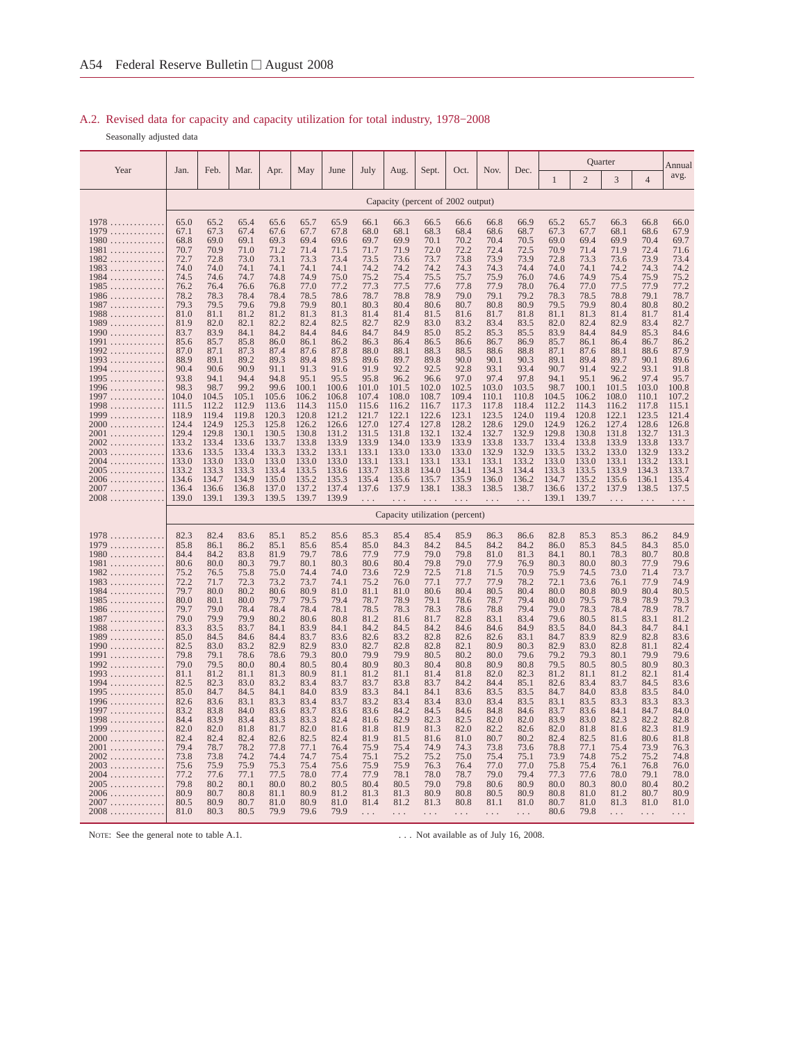## A.2. Revised data for capacity and capacity utilization for total industry, 1978−2008

Seasonally adjusted data

|                                                                                                                                                                                                                                                                                                                                                                                             |                                                                                                                                                                                                                                                      |                                                                                                                                                                                                                                                      |                                                                                                                                                                                                                                                      |                                                                                                                                                                                                                                                      |                                                                                                                                                                                                                                                      |                                                                                                                                                                                                                                                      |                                                                                                                                                                                                                                                 |                                                                                                                                                                                                                                                 |                                                                                                                                                                                                                                                 |                                                                                                                                                                                                                                                 |                                                                                                                                                                                                                                                 |                                                                                                                                                                                                                                                 |                                                                                                                                                                                                                                                      |                                                                                                                                                                                                                                                      | Quarter                                                                                                                                                                                                                                         |                                                                                                                                                                                                                                                 | Annual                                                                                                                                                                                                                                          |
|---------------------------------------------------------------------------------------------------------------------------------------------------------------------------------------------------------------------------------------------------------------------------------------------------------------------------------------------------------------------------------------------|------------------------------------------------------------------------------------------------------------------------------------------------------------------------------------------------------------------------------------------------------|------------------------------------------------------------------------------------------------------------------------------------------------------------------------------------------------------------------------------------------------------|------------------------------------------------------------------------------------------------------------------------------------------------------------------------------------------------------------------------------------------------------|------------------------------------------------------------------------------------------------------------------------------------------------------------------------------------------------------------------------------------------------------|------------------------------------------------------------------------------------------------------------------------------------------------------------------------------------------------------------------------------------------------------|------------------------------------------------------------------------------------------------------------------------------------------------------------------------------------------------------------------------------------------------------|-------------------------------------------------------------------------------------------------------------------------------------------------------------------------------------------------------------------------------------------------|-------------------------------------------------------------------------------------------------------------------------------------------------------------------------------------------------------------------------------------------------|-------------------------------------------------------------------------------------------------------------------------------------------------------------------------------------------------------------------------------------------------|-------------------------------------------------------------------------------------------------------------------------------------------------------------------------------------------------------------------------------------------------|-------------------------------------------------------------------------------------------------------------------------------------------------------------------------------------------------------------------------------------------------|-------------------------------------------------------------------------------------------------------------------------------------------------------------------------------------------------------------------------------------------------|------------------------------------------------------------------------------------------------------------------------------------------------------------------------------------------------------------------------------------------------------|------------------------------------------------------------------------------------------------------------------------------------------------------------------------------------------------------------------------------------------------------|-------------------------------------------------------------------------------------------------------------------------------------------------------------------------------------------------------------------------------------------------|-------------------------------------------------------------------------------------------------------------------------------------------------------------------------------------------------------------------------------------------------|-------------------------------------------------------------------------------------------------------------------------------------------------------------------------------------------------------------------------------------------------|
| Year                                                                                                                                                                                                                                                                                                                                                                                        | Jan.                                                                                                                                                                                                                                                 | Feb.                                                                                                                                                                                                                                                 | Mar.                                                                                                                                                                                                                                                 | Apr.                                                                                                                                                                                                                                                 | May                                                                                                                                                                                                                                                  | June                                                                                                                                                                                                                                                 | July                                                                                                                                                                                                                                            | Aug.                                                                                                                                                                                                                                            | Sept.                                                                                                                                                                                                                                           | Oct.                                                                                                                                                                                                                                            | Nov.                                                                                                                                                                                                                                            | Dec.                                                                                                                                                                                                                                            | 1                                                                                                                                                                                                                                                    | $\overline{2}$                                                                                                                                                                                                                                       | 3                                                                                                                                                                                                                                               | $\overline{4}$                                                                                                                                                                                                                                  | avg.                                                                                                                                                                                                                                            |
|                                                                                                                                                                                                                                                                                                                                                                                             |                                                                                                                                                                                                                                                      |                                                                                                                                                                                                                                                      |                                                                                                                                                                                                                                                      |                                                                                                                                                                                                                                                      |                                                                                                                                                                                                                                                      |                                                                                                                                                                                                                                                      |                                                                                                                                                                                                                                                 | Capacity (percent of 2002 output)                                                                                                                                                                                                               |                                                                                                                                                                                                                                                 |                                                                                                                                                                                                                                                 |                                                                                                                                                                                                                                                 |                                                                                                                                                                                                                                                 |                                                                                                                                                                                                                                                      |                                                                                                                                                                                                                                                      |                                                                                                                                                                                                                                                 |                                                                                                                                                                                                                                                 |                                                                                                                                                                                                                                                 |
| 1978<br>1979<br>$1980$<br>$1981$<br>$1982$<br>$1983$<br>$1984$<br>$1985$<br>$1986$<br>$1987 \ldots \ldots \ldots \ldots$<br>$1988$<br>$1989$<br>$1990$<br>1991<br>1992<br>$1993$<br>1994<br>$1995 \ldots$<br>$1996$<br>1997<br>1998<br>1999<br>$2000$<br>2001<br>$2002$<br>$2003$<br>$2004$<br>$2005$<br>$2006$                                                                             | 65.0<br>67.1<br>68.8<br>70.7<br>72.7<br>74.0<br>74.5<br>76.2<br>78.2<br>79.3<br>81.0<br>81.9<br>83.7<br>85.6<br>87.0<br>88.9<br>90.4<br>93.8<br>98.3<br>104.0<br>111.5<br>118.9<br>124.4<br>129.4<br>133.2<br>133.6<br>133.0<br>133.2<br>134.6       | 65.2<br>67.3<br>69.0<br>70.9<br>72.8<br>74.0<br>74.6<br>76.4<br>78.3<br>79.5<br>81.1<br>82.0<br>83.9<br>85.7<br>87.1<br>89.1<br>90.6<br>94.1<br>98.7<br>104.5<br>112.2<br>119.4<br>124.9<br>129.8<br>133.4<br>133.5<br>133.0<br>133.3<br>134.7       | 65.4<br>67.4<br>69.1<br>71.0<br>73.0<br>74.1<br>74.7<br>76.6<br>78.4<br>79.6<br>81.2<br>82.1<br>84.1<br>85.8<br>87.3<br>89.2<br>90.9<br>94.4<br>99.2<br>105.1<br>112.9<br>119.8<br>125.3<br>130.1<br>133.6<br>133.4<br>133.0<br>133.3<br>134.9       | 65.6<br>67.6<br>69.3<br>71.2<br>73.1<br>74.1<br>74.8<br>76.8<br>78.4<br>79.8<br>81.2<br>82.2<br>84.2<br>86.0<br>87.4<br>89.3<br>91.1<br>94.8<br>99.6<br>105.6<br>113.6<br>120.3<br>125.8<br>130.5<br>133.7<br>133.3<br>133.0<br>133.4<br>135.0       | 65.7<br>67.7<br>69.4<br>71.4<br>73.3<br>74.1<br>74.9<br>77.0<br>78.5<br>79.9<br>81.3<br>82.4<br>84.4<br>86.1<br>87.6<br>89.4<br>91.3<br>95.1<br>100.1<br>106.2<br>114.3<br>120.8<br>126.2<br>130.8<br>133.8<br>133.2<br>133.0<br>133.5<br>135.2      | 65.9<br>67.8<br>69.6<br>71.5<br>73.4<br>74.1<br>75.0<br>77.2<br>78.6<br>80.1<br>81.3<br>82.5<br>84.6<br>86.2<br>87.8<br>89.5<br>91.6<br>95.5<br>100.6<br>106.8<br>115.0<br>121.2<br>126.6<br>131.2<br>133.9<br>133.1<br>133.0<br>133.6<br>135.3      | 66.1<br>68.0<br>69.7<br>71.7<br>73.5<br>74.2<br>75.2<br>77.3<br>78.7<br>80.3<br>81.4<br>82.7<br>84.7<br>86.3<br>88.0<br>89.6<br>91.9<br>95.8<br>101.0<br>107.4<br>115.6<br>121.7<br>127.0<br>131.5<br>133.9<br>133.1<br>133.1<br>133.7<br>135.4 | 66.3<br>68.1<br>69.9<br>71.9<br>73.6<br>74.2<br>75.4<br>77.5<br>78.8<br>80.4<br>81.4<br>82.9<br>84.9<br>86.4<br>88.1<br>89.7<br>92.2<br>96.2<br>101.5<br>108.0<br>116.2<br>122.1<br>127.4<br>131.8<br>134.0<br>133.0<br>133.1<br>133.8<br>135.6 | 66.5<br>68.3<br>70.1<br>72.0<br>73.7<br>74.2<br>75.5<br>77.6<br>78.9<br>80.6<br>81.5<br>83.0<br>85.0<br>86.5<br>88.3<br>89.8<br>92.5<br>96.6<br>102.0<br>108.7<br>116.7<br>122.6<br>127.8<br>132.1<br>133.9<br>133.0<br>133.1<br>134.0<br>135.7 | 66.6<br>68.4<br>70.2<br>72.2<br>73.8<br>74.3<br>75.7<br>77.8<br>79.0<br>80.7<br>81.6<br>83.2<br>85.2<br>86.6<br>88.5<br>90.0<br>92.8<br>97.0<br>102.5<br>109.4<br>117.3<br>123.1<br>128.2<br>132.4<br>133.9<br>133.0<br>133.1<br>134.1<br>135.9 | 66.8<br>68.6<br>70.4<br>72.4<br>73.9<br>74.3<br>75.9<br>77.9<br>79.1<br>80.8<br>81.7<br>83.4<br>85.3<br>86.7<br>88.6<br>90.1<br>93.1<br>97.4<br>103.0<br>110.1<br>117.8<br>123.5<br>128.6<br>132.7<br>133.8<br>132.9<br>133.1<br>134.3<br>136.0 | 66.9<br>68.7<br>70.5<br>72.5<br>73.9<br>74.4<br>76.0<br>78.0<br>79.2<br>80.9<br>81.8<br>83.5<br>85.5<br>86.9<br>88.8<br>90.3<br>93.4<br>97.8<br>103.5<br>110.8<br>118.4<br>124.0<br>129.0<br>132.9<br>133.7<br>132.9<br>133.2<br>134.4<br>136.2 | 65.2<br>67.3<br>69.0<br>70.9<br>72.8<br>74.0<br>74.6<br>76.4<br>78.3<br>79.5<br>81.1<br>82.0<br>83.9<br>85.7<br>87.1<br>89.1<br>90.7<br>94.1<br>98.7<br>104.5<br>112.2<br>119.4<br>124.9<br>129.8<br>133.4<br>133.5<br>133.0<br>133.3<br>134.7       | 65.7<br>67.7<br>69.4<br>71.4<br>73.3<br>74.1<br>74.9<br>77.0<br>78.5<br>79.9<br>81.3<br>82.4<br>84.4<br>86.1<br>87.6<br>89.4<br>91.4<br>95.1<br>100.1<br>106.2<br>114.3<br>120.8<br>126.2<br>130.8<br>133.8<br>133.2<br>133.0<br>133.5<br>135.2      | 66.3<br>68.1<br>69.9<br>71.9<br>73.6<br>74.2<br>75.4<br>77.5<br>78.8<br>80.4<br>81.4<br>82.9<br>84.9<br>86.4<br>88.1<br>89.7<br>92.2<br>96.2<br>101.5<br>108.0<br>116.2<br>122.1<br>127.4<br>131.8<br>133.9<br>133.0<br>133.1<br>133.9<br>135.6 | 66.8<br>68.6<br>70.4<br>72.4<br>73.9<br>74.3<br>75.9<br>77.9<br>79.1<br>80.8<br>81.7<br>83.4<br>85.3<br>86.7<br>88.6<br>90.1<br>93.1<br>97.4<br>103.0<br>110.1<br>117.8<br>123.5<br>128.6<br>132.7<br>133.8<br>132.9<br>133.2<br>134.3<br>136.1 | 66.0<br>67.9<br>69.7<br>71.6<br>73.4<br>74.2<br>75.2<br>77.2<br>78.7<br>80.2<br>81.4<br>82.7<br>84.6<br>86.2<br>87.9<br>89.6<br>91.8<br>95.7<br>100.8<br>107.2<br>115.1<br>121.4<br>126.8<br>131.3<br>133.7<br>133.2<br>133.1<br>133.7<br>135.4 |
| $2007$<br>$2008$                                                                                                                                                                                                                                                                                                                                                                            | 136.4<br>139.0                                                                                                                                                                                                                                       | 136.6<br>139.1                                                                                                                                                                                                                                       | 136.8<br>139.3                                                                                                                                                                                                                                       | 137.0<br>139.5                                                                                                                                                                                                                                       | 137.2<br>139.7                                                                                                                                                                                                                                       | 137.4<br>139.9                                                                                                                                                                                                                                       | 137.6<br>$\ldots$                                                                                                                                                                                                                               | 137.9<br>.                                                                                                                                                                                                                                      | 138.1<br>.                                                                                                                                                                                                                                      | 138.3<br>$\cdots$                                                                                                                                                                                                                               | 138.5<br>.                                                                                                                                                                                                                                      | 138.7<br>$\ldots$                                                                                                                                                                                                                               | 136.6<br>139.1                                                                                                                                                                                                                                       | 137.2<br>139.7                                                                                                                                                                                                                                       | 137.9<br>$\ldots$                                                                                                                                                                                                                               | 138.5<br>$\ldots$                                                                                                                                                                                                                               | 137.5<br>.                                                                                                                                                                                                                                      |
|                                                                                                                                                                                                                                                                                                                                                                                             |                                                                                                                                                                                                                                                      |                                                                                                                                                                                                                                                      |                                                                                                                                                                                                                                                      |                                                                                                                                                                                                                                                      |                                                                                                                                                                                                                                                      |                                                                                                                                                                                                                                                      |                                                                                                                                                                                                                                                 | Capacity utilization (percent)                                                                                                                                                                                                                  |                                                                                                                                                                                                                                                 |                                                                                                                                                                                                                                                 |                                                                                                                                                                                                                                                 |                                                                                                                                                                                                                                                 |                                                                                                                                                                                                                                                      |                                                                                                                                                                                                                                                      |                                                                                                                                                                                                                                                 |                                                                                                                                                                                                                                                 |                                                                                                                                                                                                                                                 |
| 1978<br>$1979$<br>$1980$<br>$1981$<br>$1982$<br>$1983$<br>$1984$<br>$1985$<br>$1986$<br>$1987 \ldots \ldots \ldots \ldots$<br>1988<br>$1989$<br>$1990$<br>1991<br>$1992$<br>$1993$<br>$1994$<br>$1995$<br>$1996 \ldots$<br>1997<br>1998<br>$1999$<br>$2000$<br>$2001$<br>$2002$<br>$2003$<br>$2004$<br>$2005$<br>$2006\ldots\ldots\ldots\ldots$<br>$2007\ldots\ldots\ldots\ldots$<br>$2008$ | 82.3<br>85.8<br>84.4<br>80.6<br>75.2<br>72.2<br>79.7<br>80.0<br>79.7<br>79.0<br>83.3<br>85.0<br>82.5<br>79.8<br>79.0<br>81.1<br>82.5<br>85.0<br>82.6<br>83.2<br>84.4<br>82.0<br>82.4<br>79.4<br>73.8<br>75.6<br>77.2<br>79.8<br>80.9<br>80.5<br>81.0 | 82.4<br>86.1<br>84.2<br>80.0<br>76.5<br>71.7<br>80.0<br>80.1<br>79.0<br>79.9<br>83.5<br>84.5<br>83.0<br>79.1<br>79.5<br>81.2<br>82.3<br>84.7<br>83.6<br>83.8<br>83.9<br>82.0<br>82.4<br>78.7<br>73.8<br>75.9<br>77.6<br>80.2<br>80.7<br>80.9<br>80.3 | 83.6<br>86.2<br>83.8<br>80.3<br>75.8<br>72.3<br>80.2<br>80.0<br>78.4<br>79.9<br>83.7<br>84.6<br>83.2<br>78.6<br>80.0<br>81.1<br>83.0<br>84.5<br>83.1<br>84.0<br>83.4<br>81.8<br>82.4<br>78.2<br>74.2<br>75.9<br>77.1<br>80.1<br>80.8<br>80.7<br>80.5 | 85.1<br>85.1<br>81.9<br>79.7<br>75.0<br>73.2<br>80.6<br>79.7<br>78.4<br>80.2<br>84.1<br>84.4<br>82.9<br>78.6<br>80.4<br>81.3<br>83.2<br>84.1<br>83.3<br>83.6<br>83.3<br>81.7<br>82.6<br>77.8<br>74.4<br>75.3<br>77.5<br>80.0<br>81.1<br>81.0<br>79.9 | 85.2<br>85.6<br>79.7<br>80.1<br>74.4<br>73.7<br>80.9<br>79.5<br>78.4<br>80.6<br>83.9<br>83.7<br>82.9<br>79.3<br>80.5<br>80.9<br>83.4<br>84.0<br>83.4<br>83.7<br>83.3<br>82.0<br>82.5<br>77.1<br>74.7<br>75.4<br>78.0<br>80.2<br>80.9<br>80.9<br>79.6 | 85.6<br>85.4<br>78.6<br>80.3<br>74.0<br>74.1<br>81.0<br>79.4<br>78.1<br>80.8<br>84.1<br>83.6<br>83.0<br>80.0<br>80.4<br>81.1<br>83.7<br>83.9<br>83.7<br>83.6<br>82.4<br>81.6<br>82.4<br>76.4<br>75.4<br>75.6<br>77.4<br>80.5<br>81.2<br>81.0<br>79.9 | 85.3<br>85.0<br>77.9<br>80.6<br>73.6<br>75.2<br>81.1<br>78.7<br>78.5<br>81.2<br>84.2<br>82.6<br>82.7<br>79.9<br>80.9<br>81.2<br>83.7<br>83.3<br>83.2<br>83.6<br>81.6<br>81.8<br>81.9<br>75.9<br>75.1<br>75.9<br>77.9<br>80.4<br>81.3<br>81.4    | 85.4<br>84.3<br>77.9<br>80.4<br>72.9<br>76.0<br>81.0<br>78.9<br>78.3<br>81.6<br>84.5<br>83.2<br>82.8<br>79.9<br>80.3<br>81.1<br>83.8<br>84.1<br>83.4<br>84.2<br>82.9<br>81.9<br>81.5<br>75.4<br>75.2<br>75.9<br>78.1<br>80.5<br>81.3<br>81.2    | 85.4<br>84.2<br>79.0<br>79.8<br>72.5<br>77.1<br>80.6<br>79.1<br>78.3<br>81.7<br>84.2<br>82.8<br>82.8<br>80.5<br>80.4<br>81.4<br>83.7<br>84.1<br>83.4<br>84.5<br>82.3<br>81.3<br>81.6<br>74.9<br>75.2<br>76.3<br>78.0<br>79.0<br>80.9<br>81.3    | 85.9<br>84.5<br>79.8<br>79.0<br>71.8<br>77.7<br>80.4<br>78.6<br>78.6<br>82.8<br>84.6<br>82.6<br>82.1<br>80.2<br>80.8<br>81.8<br>84.2<br>83.6<br>83.0<br>84.6<br>82.5<br>82.0<br>81.0<br>74.3<br>75.0<br>76.4<br>78.7<br>79.8<br>80.8<br>80.8    | 86.3<br>84.2<br>81.0<br>77.9<br>71.5<br>77.9<br>80.5<br>78.7<br>78.8<br>83.1<br>84.6<br>82.6<br>80.9<br>80.0<br>80.9<br>82.0<br>84.4<br>83.5<br>83.4<br>84.8<br>82.0<br>82.2<br>80.7<br>73.8<br>75.4<br>77.0<br>79.0<br>80.6<br>80.5<br>81.1    | 86.6<br>84.2<br>81.3<br>76.9<br>70.9<br>78.2<br>80.4<br>79.4<br>79.4<br>83.4<br>84.9<br>83.1<br>80.3<br>79.6<br>80.8<br>82.3<br>85.1<br>83.5<br>83.5<br>84.6<br>82.0<br>82.6<br>80.2<br>73.6<br>75.1<br>77.0<br>79.4<br>80.9<br>80.9<br>81.0    | 82.8<br>86.0<br>84.1<br>80.3<br>75.9<br>72.1<br>80.0<br>80.0<br>79.0<br>79.6<br>83.5<br>84.7<br>82.9<br>79.2<br>79.5<br>81.2<br>82.6<br>84.7<br>83.1<br>83.7<br>83.9<br>82.0<br>82.4<br>78.8<br>73.9<br>75.8<br>77.3<br>80.0<br>80.8<br>80.7<br>80.6 | 85.3<br>85.3<br>80.1<br>80.0<br>74.5<br>73.6<br>80.8<br>79.5<br>78.3<br>80.5<br>84.0<br>83.9<br>83.0<br>79.3<br>80.5<br>81.1<br>83.4<br>84.0<br>83.5<br>83.6<br>83.0<br>81.8<br>82.5<br>77.1<br>74.8<br>75.4<br>77.6<br>80.3<br>81.0<br>81.0<br>79.8 | 85.3<br>84.5<br>78.3<br>80.3<br>73.0<br>76.1<br>80.9<br>78.9<br>78.4<br>81.5<br>84.3<br>82.9<br>82.8<br>80.1<br>80.5<br>81.2<br>83.7<br>83.8<br>83.3<br>84.1<br>82.3<br>81.6<br>81.6<br>75.4<br>75.2<br>76.1<br>78.0<br>80.0<br>81.2<br>81.3    | 86.2<br>84.3<br>80.7<br>77.9<br>71.4<br>77.9<br>80.4<br>78.9<br>78.9<br>83.1<br>84.7<br>82.8<br>81.1<br>79.9<br>80.9<br>82.1<br>84.5<br>83.5<br>83.3<br>84.7<br>82.2<br>82.3<br>80.6<br>73.9<br>75.2<br>76.8<br>79.1<br>80.4<br>80.7<br>81.0    | 84.9<br>85.0<br>80.8<br>79.6<br>73.7<br>74.9<br>80.5<br>79.3<br>78.7<br>81.2<br>84.1<br>83.6<br>82.4<br>79.6<br>80.3<br>81.4<br>83.6<br>84.0<br>83.3<br>84.0<br>82.8<br>81.9<br>81.8<br>76.3<br>74.8<br>76.0<br>78.0<br>80.2<br>80.9<br>81.0    |

NOTE: See the general note to table A.1. . . . . . . . . . . . . . . . Not available as of July 16, 2008.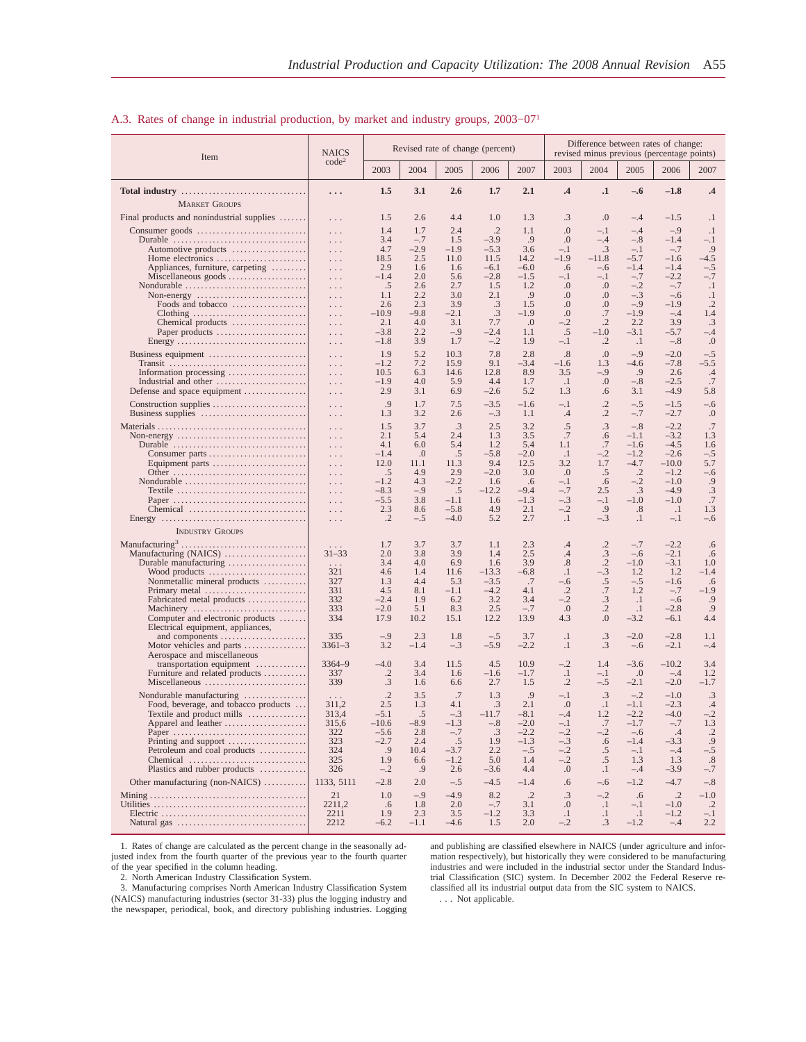#### Item NAICS code2 Revised rate of change (percent) Difference between rates of change: revised minus previous (percentage points) 2003 2004 2005 2006 2007 2003 2004 2005 2006 2007 **Total industry** ................................ **. . . 1.5 3.1 2.6 1.7 2.1 .4 .1 –.6 –1.8 .4** MARKET GROUPS Final products and nonindustrial supplies ....... 1.5 2.6 4.4 1.0 1.3 .3 .0 -4 -1.5 .1 Consumer goods . . . . . . . . . . . . . . . . . . . . . . . . . . . . . . . 1.4 1.7 2.4 .2 1.1 .0 –.1 –.4 –.9 .1 Durable . . . . . . . . . . . . . . . . . . . . . . . . . . . . . . . . . . . . . 3.4 –.7 1.5 –3.9 .9 .0 –.4 –.8 –1.4 –.1 Automotive products . . . . . . . . . . . . . . . . . . . . . . 4.7 –2.9 –1.9 –5.3 3.6 –.1 .3 –.1 –.7 .9 Home electronics ....................... . . . 18.5 2.5 11.0 11.5 14.2 –1.9 –11.8 –5.7 –1.6 –4.5 Appliances, furniture, carpeting . . . . . . . . . . . . 2.9 1.6 1.6 –6.1 –6.0 .6 –.6 –1.4 –1.4 –.5 Miscellaneous goods .................... . . . –1.4 2.0 5.6 –2.8 –1.5 –.1 –.1 –.7 –2.2 –.7 Nondurable . . . . . . . . . . . . . . . . . . . . . . . . . . . . . . . . . . .5 2.6 2.7 1.5 1.2 .0 .0 –.2 –.7 .1 Non-energy . . . . . . . . . . . . . . . . . . . . . . . . . . . . . . . 1.1 2.2 3.0 2.1 .9 .0 .0 –.3 –.6 .1 Foods and tobacco . . . . . . . . . . . . . . . . . . . . . . 2.6 2.3 3.9 .3 1.5 .0 .0 –.9 –1.9 .2 Clothing . . . . . . . . . . . . . . . . . . - 10.9 −9.8 −2.1 . . 3 −1.9 . 0 . 7 −1.9 −.4 1.4<br>Chemical products . . . . . . . . . . . . . . . . 2.1 4.0 3.1 7.7 . 0 −.2 . 2 2.2 3.9 . 3 Paper products ....................... . . . –3.8 2.2 –.9 –2.4 1.1 .5 –1.0 –3.1 –5.7 –.4 Energy ................................. . . . –1.8 3.9 1.7 –.2 1.9 –.1 .2 .1 –.8 .0 Business equipment . . . . . . . . . . . . . . . . . . . . . . . . . . . . 1.9 5.2 10.3 7.8 2.8 .8 .0 –.9 –2.0 –.5 Transit ................................... . . . –1.2 7.2 15.9 9.1 –3.4 –1.6 1.3 –4.6 –7.8 –5.5 Information processing .................... . . . 10.5 6.3 14.6 12.8 8.9 3.5 –.9 .9 2.6 .4 Industrial and other ....................... . . . –1.9 4.0 5.9 4.4 1.7 .1 .0 –.8 –2.5 .7 Defense and space equipment . . . . . . . . . . . . . . . . . . . 2.9 3.1 6.9 –2.6 5.2 1.3 .6 3.1 –4.9 5.8 Construction supplies . . . . . . . . . . . . . . . . . . . . . . . . . . . .9 1.7 7.5 –3.5 –1.6 –.1 .2 –.5 –1.5 –.6 Business supplies . . . . . . . . . . . . . . . . . . . . . . . . . . . . . . 1.3 3.2 2.6 –.3 1.1 .4 .2 –.7 –2.7 .0 Materials . . . . . . . . . . . . . . . . . . . . . . . . . . . . . . . . . . . . . . . . . 1.5 3.7 .3 2.5 3.2 .5 .3 –.8 –2.2 .7 Non-energy . . . . . . . . . . . . . . . . . . . . . . . . . . . . . . . . . . . . 2.1 5.4 2.4 1.3 3.5 .7 .6 –1.1 –3.2 1.3 Durable . . . . . . . . . . . . . . . . . . . . . . . . . . . . . . . . . . . . . 4.1 6.0 5.4 1.2 5.4 1.1 .7 –1.6 –4.5 1.6 Consumer parts ......................... . . . –1.4 .0 .5 –5.8 –2.0 .1 –.2 –1.2 –2.6 –.5 Equipment parts ........................ . . . 12.0 11.1 11.3 9.4 12.5 3.2 1.7 –4.7 –10.0 5.7 Other . . . . . . . . . . . . . . . . . . . . . . . . . . . . . . . . . . . . . .5 4.9 2.9 –2.0 3.0 .0 .5 .2 –1.2 –.6 Nondurable ............................... . . . –1.2 4.3 –2.2 1.6 .6 –.1 .6 –.2 –1.0 .9 Textile ................................. . . . –8.3 –.9 .5 –12.2 –9.4 –.7 2.5 .3 –4.9 .3 Paper .................................. . . . –5.5 3.8 –1.1 1.6 –1.3 –.3 –.1 –1.0 –1.0 .7 Chemical . . . . . . . . . . . . . . . . . . . . . . . . . . . . . . . . . 2.3 8.6 –5.8 4.9 2.1 –.2 .9 .8 .1 1.3 Energy . . . . . . . . . . . . . . . . . . . . . . . . . . . . . . . . . . . . . . . . .2 –.5 –4.0 5.2 2.7 .1 –.3 .1 –.1 –.6 INDUSTRY GROUPS Manufacturing3 . . . . . . . . . . . . . . . . . . . . . . . . . . . . . . . . . . . 1.7 3.7 3.7 1.1 2.3 .4 .2 –.7 –2.2 .6 Manufacturing (NAICS) . . . . . . . . . . . . . . . . . . . . . 31–33 2.0 3.8 3.9 1.4 2.5 .4 .3 –.6 –2.1 .6 Durable manufacturing . . . . . . . . . . . . . . . . . . . . . . . 3.4 4.0 6.9 1.6 3.9 .8 .2 –1.0 –3.1 1.0 Wood products . . . . . . . . . . . . . . . . . . . . . . . . . 321 4.6 1.4 11.6 –13.3 –6.8 .1 –.3 1.2 1.2 –1.4 Nonmetallic mineral products . . . . . . . . . . . 327 1.3 4.4 5.3 –3.5 .7 –.6 .5 –.5 –1.6 .6 Primary metal . . . . . . . . . . . . . . . . . . . . . . . . . . 331 4.5 8.1 –1.1 –4.2 4.1 .2 .7 1.2 –.7 –1.9 Fabricated metal products . . . . . . . . . . . . . . . 332 –2.4 1.9 6.2 3.2 3.4 –.2 .3 .1 –.6 .9 Machinery . . . . . . . . . . . . . . . . . . . . . . . . . . . . . 333 –2.0 5.1 8.3 2.5 –.7 .0 .2 .1 –2.8 .9 Computer and electronic products . . . . . . . 334 17.9 10.2 15.1 12.2 13.9 4.3 .0 –3.2 –6.1 4.4 Electrical equipment, appliances, and components . . . . . . . . . . . . . . . . . . . . . . 335 –.9 2.3 1.8 –.5 3.7 .1 .3 –2.0 –2.8 1.1 Motor vehicles and parts ................ 3361–3 3.2 –1.4 –.3 –5.9 –2.2 .1 .3 –.6 –2.1 –.4 Aerospace and miscellaneous transportation equipment ............. 3364–9 –4.0 3.4 11.5 4.5 10.9 –.2 1.4 –3.6 –10.2 3.4 Furniture and related products . . . . . . . . . . . 337 .2 3.4 1.6 –1.6 –1.7 .1 –.1 .0 –.4 1.2 Miscellaneous . . . . . . . . . . . . . . . . . . . . . . . . . . 339 .3 1.6 6.6 2.7 1.5 .2 –.5 –2.1 –2.0 –1.7 Nondurable manufacturing . . . . . . . . . . . . . . . . . . . .2 3.5 .7 1.3 .9 –.1 .3 –.2 –1.0 .3 Food, beverage, and tobacco products . . . 311,2 2.5 1.3 4.1 .3 2.1 .0 .1 –1.1 –2.3 .4 Textile and product mills ...............| 313,4 –5.1 5 –.3 –11.7 –8.1 –.4 1.2 –2.2 –4.0 –.2<br>Apparel and leather ....................| 315,6 –10.6 –8.9 –1.3 –.8 –2.0 –.1 .7 –1.7 –.7 1.3 Paper . . . . . . . . . . . . . . . . . . . . . . . . . . . . . . . . . . 322 –5.6 2.8 –.7 .3 –2.2 –.2 –.2 –.6 .4 .2 Printing and support . . . . . . . . . . . . . . . . . . . . 323 –2.7 2.4 .5 1.9 –1.3 –.3 .6 –1.4 –3.3 .9 Petroleum and coal products . . . . . . . . . . . . 324 .9 10.4 –3.7 2.2 –.5 –.2 .5 –.1 –.4 –.5 Chemical . . . . . . . . . . . . . . . . . . . . . . . . . . . . . . 325 1.9 6.6 –1.2 5.0 1.4 –.2 .5 1.3 1.3 .8 Plastics and rubber products . . . . . . . . . . . . 326 –.2 .9 2.6 –3.6 4.4 .0 .1 –.4 –3.9 –.7 Other manufacturing (non-NAICS) ........... 1133, 5111 –2.8 2.0 –.5 –4.5 –1.4 .6 –.6 –1.2 –4.7 –.8 Mining . . . . . . . . . . . . . . . . . . . . . . . . . . . . . . . . . . . . . . . . 21 1.0 –.9 –4.9 8.2 .2 .3 –.2 .6 .2 –1.0 Utilities . . . . . . . . . . . . . . . . . . . . . . . . . . . . . . . . . . . . . . . 2211,2 .6 1.8 2.0 –.7 3.1 .0 .1 –.1 –1.0 .2 Electric . . . . . . . . . . . . . . . . . . . . . . . . . . . . . . . . . . . . . 2211 1.9 2.3 3.5 –1.2 3.3 .1 .1 .1 –1.2 –.1 Natural gas ................................. 2212 –6.2 –1.1 –4.6 1.5 2.0 –.2 .3 –1.2 –.4 2.2

#### A.3. Rates of change in industrial production, by market and industry groups, 2003−071

1. Rates of change are calculated as the percent change in the seasonally adjusted index from the fourth quarter of the previous year to the fourth quarter of the year specified in the column heading.

2. North American Industry Classification System.

mation respectively), but historically they were considered to be manufacturing industries and were included in the industrial sector under the Standard Industrial Classification (SIC) system. In December 2002 the Federal Reserve reclassified all its industrial output data from the SIC system to NAICS. . . . Not applicable.

and publishing are classified elsewhere in NAICS (under agriculture and infor-

3. Manufacturing comprises North American Industry Classification System (NAICS) manufacturing industries (sector 31-33) plus the logging industry and the newspaper, periodical, book, and directory publishing industries. Logging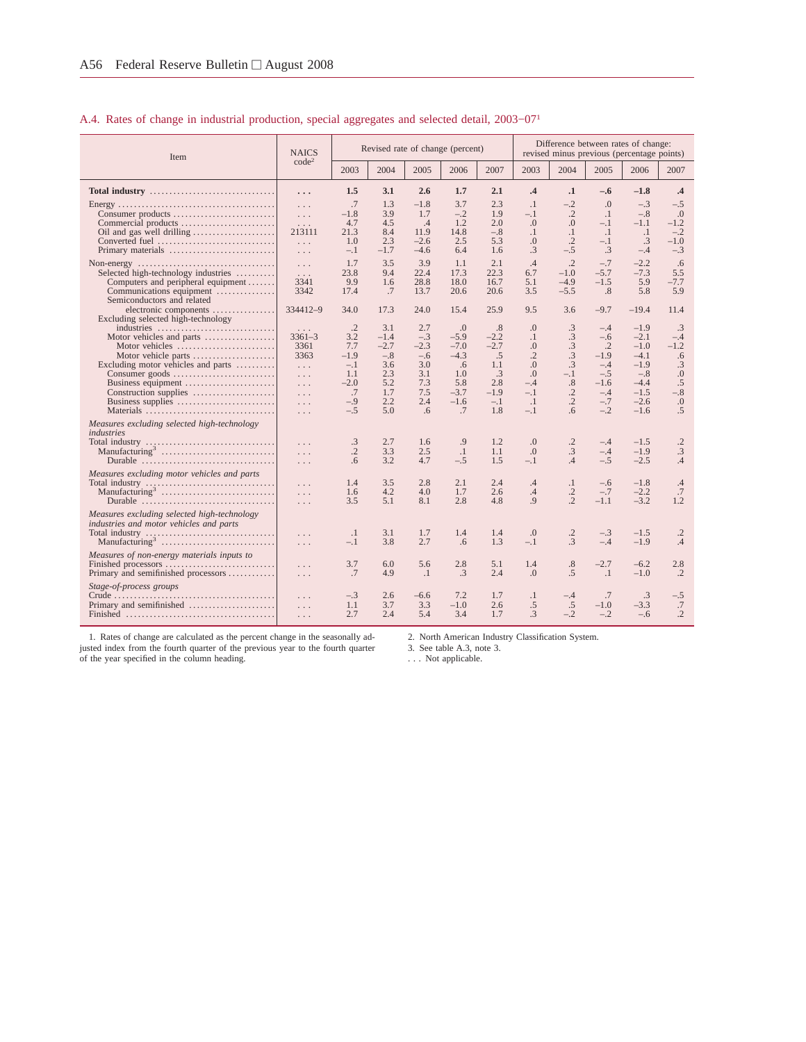## A.4. Rates of change in industrial production, special aggregates and selected detail, 2003−071

| Item                                                                                                                                   | <b>NAICS</b>                                             |                                             |                                         |                                        | Revised rate of change (percent)       |                                            |                                                         |                                                           |                                                 | Difference between rates of change:<br>revised minus previous (percentage points) |                                   |
|----------------------------------------------------------------------------------------------------------------------------------------|----------------------------------------------------------|---------------------------------------------|-----------------------------------------|----------------------------------------|----------------------------------------|--------------------------------------------|---------------------------------------------------------|-----------------------------------------------------------|-------------------------------------------------|-----------------------------------------------------------------------------------|-----------------------------------|
|                                                                                                                                        | code <sup>2</sup>                                        | 2003                                        | 2004                                    | 2005                                   | 2006                                   | 2007                                       | 2003                                                    | 2004                                                      | 2005                                            | 2006                                                                              | 2007                              |
| Total industry $\ldots, \ldots, \ldots, \ldots, \ldots, \ldots, \ldots, \ldots$                                                        | .                                                        | 1.5                                         | 3.1                                     | 2.6                                    | 1.7                                    | 2.1                                        | .4                                                      | $\cdot$ 1                                                 | $-.6$                                           | $-1.8$                                                                            | $\cdot$ 4                         |
| Consumer products<br>Commercial products<br>Oil and gas well drilling                                                                  | $\cdots$<br>$\ldots$<br>$\ldots$<br>213111               | .7<br>$-1.8$<br>4.7<br>21.3                 | 1.3<br>3.9<br>4.5<br>8.4                | $-1.8$<br>1.7<br>.4<br>11.9            | 3.7<br>$-.2$<br>1.2<br>14.8            | 2.3<br>1.9<br>2.0<br>$-.8$                 | $\cdot$ 1<br>$-.1$<br>$\Omega$ .<br>$\cdot$             | $-.2$<br>$\cdot$ .2<br>$\Omega$<br>$\cdot$ 1              | .0<br>$\cdot$<br>$-.1$<br>$\cdot$ 1             | $-.3$<br>$-.8$<br>$-1.1$<br>$\cdot$                                               | $-.5$<br>.0<br>$-1.2$<br>$-.2$    |
| Converted fuel<br>Primary materials                                                                                                    | $\ldots$<br>$\ldots$                                     | 1.0<br>$-.1$                                | 2.3<br>$-1.7$                           | $-2.6$<br>$-4.6$                       | 2.5<br>6.4                             | 5.3<br>1.6                                 | $\Omega$ .<br>.3                                        | $\cdot$ .2<br>$-.5$                                       | $-.1$<br>.3                                     | .3<br>$-.4$                                                                       | $-1.0$<br>$-.3$                   |
| Selected high-technology industries<br>Computers and peripheral equipment<br>Communications equipment<br>Semiconductors and related    | $\ldots$<br>$\ldots$<br>3341<br>3342                     | 1.7<br>23.8<br>9.9<br>17.4                  | 3.5<br>9.4<br>1.6<br>.7                 | 3.9<br>22.4<br>28.8<br>13.7            | 1.1<br>17.3<br>18.0<br>20.6            | 2.1<br>22.3<br>16.7<br>20.6                | .4<br>6.7<br>5.1<br>3.5                                 | $\cdot$ .2<br>$-1.0$<br>$-4.9$<br>$-5.5$                  | $-.7$<br>$-5.7$<br>$-1.5$<br>.8                 | $-2.2$<br>$-7.3$<br>5.9<br>5.8                                                    | .6<br>5.5<br>$-7.7$<br>5.9        |
| electronic components<br>Excluding selected high-technology                                                                            | 334412-9                                                 | 34.0                                        | 17.3                                    | 24.0                                   | 15.4                                   | 25.9                                       | 9.5                                                     | 3.6                                                       | $-9.7$                                          | $-19.4$                                                                           | 11.4                              |
| industries<br>Motor vehicles and parts<br>Motor vehicles<br>Motor vehicle parts<br>Excluding motor vehicles and parts                  | $\cdots$<br>$3361 - 3$<br>3361<br>3363<br>$\ldots$       | $\cdot$ .2<br>3.2<br>7.7<br>$-1.9$<br>$-.1$ | 3.1<br>$-1.4$<br>$-2.7$<br>$-.8$<br>3.6 | 2.7<br>$-.3$<br>$-2.3$<br>$-.6$<br>3.0 | .0<br>$-5.9$<br>$-7.0$<br>$-4.3$<br>.6 | .8<br>$-2.2$<br>$-2.7$<br>.5<br>1.1        | $\Omega$ .<br>$\cdot$<br>$\Omega$ .<br>.2<br>$\Omega$ . | .3<br>.3<br>$\cdot$ 3<br>.3<br>$\cdot$ 3                  | $-.4$<br>$-.6$<br>$\cdot$ .2<br>$-1.9$<br>$-.4$ | $-1.9$<br>$-2.1$<br>$-1.0$<br>$-4.1$<br>$-1.9$                                    | .3<br>$-.4$<br>$-1.2$<br>.6<br>.3 |
| Consumer goods<br>Business equipment<br>Construction supplies<br>Business supplies<br>Materials                                        | $\ldots$<br>$\ldots$<br>$\ldots$<br>$\ldots$<br>$\ldots$ | 1.1<br>$-2.0$<br>.7<br>$-.9$<br>$-.5$       | 2.3<br>5.2<br>1.7<br>2.2<br>5.0         | 3.1<br>7.3<br>7.5<br>2.4<br>.6         | 1.0<br>5.8<br>$-3.7$<br>$-1.6$<br>.7   | $\cdot$ 3<br>2.8<br>$-1.9$<br>$-.1$<br>1.8 | .0<br>$-.4$<br>$-.1$<br>$\cdot$ 1<br>$-.1$              | $-.1$<br>.8<br>$\cdot$ .2<br>$\cdot$<br>$.6 \overline{)}$ | $-.5$<br>$-1.6$<br>$-.4$<br>$-.7$<br>$-.2$      | $-.8$<br>$-4.4$<br>$-1.5$<br>$-2.6$<br>$-1.6$                                     | .0<br>.5<br>$-.8$<br>.0<br>.5     |
| Measures excluding selected high-technology<br>industries<br>Durable                                                                   | .<br>.                                                   | .3<br>$\cdot$ .2<br>.6                      | 2.7<br>3.3<br>3.2                       | 1.6<br>2.5<br>4.7                      | .9<br>$\cdot$<br>$-.5$                 | 1.2<br>1.1<br>1.5                          | $\Omega$ .<br>$\Omega$ .<br>$-.1$                       | $\cdot$ .2<br>$\cdot$ 3<br>.4                             | $-.4$<br>$-.4$<br>$-.5$                         | $-1.5$<br>$-1.9$<br>$-2.5$                                                        | $\cdot$ .2<br>.3<br>.4            |
| Measures excluding motor vehicles and parts<br>Total industry $\dots \dots \dots \dots \dots \dots \dots \dots \dots \dots$<br>Durable | $\ldots$<br>.<br>$\ldots$<br>$\ldots$                    | 1.4<br>1.6<br>3.5                           | 3.5<br>4.2<br>5.1                       | 2.8<br>4.0<br>8.1                      | 2.1<br>1.7<br>2.8                      | 2.4<br>2.6<br>4.8                          | .4<br>.4<br>.9                                          | $\cdot$<br>$\cdot$ .2<br>$\cdot$ .2                       | $-.6$<br>$-.7$<br>$-1.1$                        | $-1.8$<br>$-2.2$<br>$-3.2$                                                        | .4<br>.7<br>1.2                   |
| Measures excluding selected high-technology<br>industries and motor vehicles and parts                                                 | .<br>$\cdots$                                            | $\cdot$<br>$-.1$                            | 3.1<br>3.8                              | 1.7<br>2.7                             | 1.4<br>.6                              | 1.4<br>1.3                                 | $\Omega$ .<br>$-.1$                                     | $\cdot$ .2<br>$\cdot$ 3                                   | $-.3$<br>$-.4$                                  | $-1.5$<br>$-1.9$                                                                  | $\cdot$ .2<br>.4                  |
| Measures of non-energy materials inputs to<br>Primary and semifinished processors                                                      | $\cdots$<br>$\ldots$                                     | 3.7<br>.7                                   | 6.0<br>4.9                              | 5.6<br>$\cdot$                         | 2.8<br>$\cdot$ 3                       | 5.1<br>2.4                                 | 1.4<br>$\Omega$                                         | $.8\,$<br>.5                                              | $-2.7$<br>$\cdot$ 1                             | $-6.2$<br>$-1.0$                                                                  | 2.8<br>$\cdot$                    |
| Stage-of-process groups<br>Primary and semifinished                                                                                    | $\ldots$<br>$\ldots$<br>$\ldots$                         | $-.3$<br>1.1<br>2.7                         | 2.6<br>3.7<br>2.4                       | $-6.6$<br>3.3<br>5.4                   | 7.2<br>$-1.0$<br>3.4                   | 1.7<br>2.6<br>1.7                          | $\cdot$<br>.5<br>$\mathcal{A}$                          | $-.4$<br>.5<br>$-.2$                                      | .7<br>$-1.0$<br>$-.2$                           | .3<br>$-3.3$<br>$-.6$                                                             | $-.5$<br>.7<br>$\cdot$            |

1. Rates of change are calculated as the percent change in the seasonally ad-justed index from the fourth quarter of the previous year to the fourth quarter of the year specified in the column heading.

2. North American Industry Classification System.

3. See table A.3, note 3. . . . Not applicable.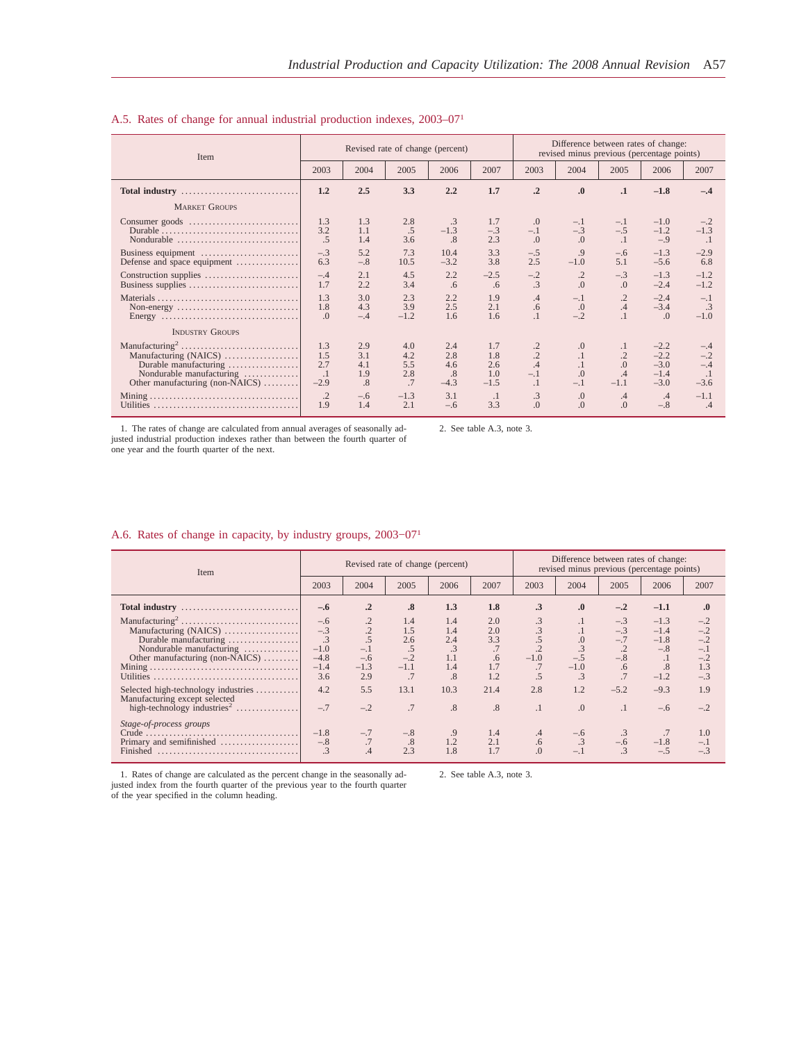| Item                                                                                                                                                         |                                                             |                                                | Revised rate of change (percent)                |                                                   |                                                      | Difference between rates of change:<br>revised minus previous (percentage points) |                                                                |                                                              |                                                               |                                                                |  |  |
|--------------------------------------------------------------------------------------------------------------------------------------------------------------|-------------------------------------------------------------|------------------------------------------------|-------------------------------------------------|---------------------------------------------------|------------------------------------------------------|-----------------------------------------------------------------------------------|----------------------------------------------------------------|--------------------------------------------------------------|---------------------------------------------------------------|----------------------------------------------------------------|--|--|
|                                                                                                                                                              | 2003                                                        | 2004                                           | 2005                                            | 2006                                              | 2007                                                 | 2003                                                                              | 2004                                                           | 2005                                                         | 2006                                                          | 2007                                                           |  |  |
| Total industry                                                                                                                                               | 1.2                                                         | 2.5                                            | 3.3                                             | 2.2                                               | 1.7                                                  | $\cdot$ <sup>2</sup>                                                              | $\boldsymbol{0}$                                               | $\cdot$                                                      | $-1.8$                                                        | $-.4$                                                          |  |  |
| <b>MARKET GROUPS</b>                                                                                                                                         |                                                             |                                                |                                                 |                                                   |                                                      |                                                                                   |                                                                |                                                              |                                                               |                                                                |  |  |
| Consumer goods<br>Nondurable                                                                                                                                 | 1.3<br>3.2<br>.5                                            | 1.3<br>1.1<br>1.4                              | 2.8<br>.5<br>3.6                                | $\cdot$ 3<br>$-1.3$<br>.8                         | 1.7<br>$-.3$<br>2.3                                  | .0<br>$-.1$<br>.0                                                                 | $-.1$<br>$-.3$<br>.0                                           | $-.1$<br>$-.5$<br>$\cdot$ <sup>1</sup>                       | $-1.0$<br>$-1.2$<br>$-.9$                                     | $-.2$<br>$-1.3$<br>$\cdot$                                     |  |  |
| Business equipment<br>Defense and space equipment                                                                                                            | $-.3$<br>6.3                                                | 5.2<br>$-.8$                                   | 7.3<br>10.5                                     | 10.4<br>$-3.2$                                    | 3.3<br>3.8                                           | $-.5$<br>2.5                                                                      | .9<br>$-1.0$                                                   | $-.6$<br>5.1                                                 | $-1.3$<br>$-5.6$                                              | $-2.9$<br>6.8                                                  |  |  |
|                                                                                                                                                              | $-.4$<br>1.7                                                | 2.1<br>2.2                                     | 4.5<br>3.4                                      | 2.2<br>.6                                         | $-2.5$<br>.6                                         | $-.2$<br>$\cdot$ 3                                                                | $\cdot$<br>.0                                                  | $-.3$<br>.0                                                  | $-1.3$<br>$-2.4$                                              | $-1.2$<br>$-1.2$                                               |  |  |
| Non-energy $\dots\dots\dots\dots\dots\dots\dots\dots\dots\dots\dots\dots$<br>Energy $\dots\dots\dots\dots\dots\dots\dots\dots\dots\dots\dots\dots\dots\dots$ | 1.3<br>1.8<br>$\Omega$ .                                    | 3.0<br>4.3<br>$-.4$                            | 2.3<br>3.9<br>$-1.2$                            | 2.2<br>2.5<br>1.6                                 | 1.9<br>2.1<br>1.6                                    | .4<br>.6<br>$\cdot$                                                               | $-.1$<br>$\Omega$ .<br>$-.2$                                   | $\cdot$ .2<br>.4<br>$\overline{1}$                           | $-2.4$<br>$-3.4$<br>$\Omega$                                  | $-.1$<br>.3<br>$-1.0$                                          |  |  |
| <b>INDUSTRY GROUPS</b>                                                                                                                                       |                                                             |                                                |                                                 |                                                   |                                                      |                                                                                   |                                                                |                                                              |                                                               |                                                                |  |  |
| Manufacturing (NAICS)<br>Durable manufacturing<br>Nondurable manufacturing<br>Other manufacturing (non-NAICS)                                                | 1.3<br>1.5<br>2.7<br>$\cdot$<br>$-2.9$<br>$\cdot$ .2<br>1.9 | 2.9<br>3.1<br>4.1<br>1.9<br>.8<br>$-.6$<br>1.4 | 4.0<br>4.2<br>5.5<br>2.8<br>.7<br>$-1.3$<br>2.1 | 2.4<br>2.8<br>4.6<br>.8<br>$-4.3$<br>3.1<br>$-.6$ | 1.7<br>1.8<br>2.6<br>1.0<br>$-1.5$<br>$\cdot$<br>3.3 | $\cdot$ .2<br>$\cdot$ .2<br>.4<br>$-.1$<br>$\cdot$ 1<br>.3<br>$\Omega$            | .0<br>$\cdot$ 1<br>$\overline{0}$ .<br>$-.1$<br>0.<br>$\Omega$ | $\cdot$<br>$\cdot$<br>.0<br>.4<br>$-1.1$<br>.4<br>$\Omega$ . | $-2.2$<br>$-2.2$<br>$-3.0$<br>$-1.4$<br>$-3.0$<br>.4<br>$-.8$ | $-.4$<br>$-.2$<br>$-.4$<br>$\cdot$ 1<br>$-3.6$<br>$-1.1$<br>.4 |  |  |

#### A.5. Rates of change for annual industrial production indexes, 2003–071

1. The rates of change are calculated from annual averages of seasonally adjusted industrial production indexes rather than between the fourth quarter of one year and the fourth quarter of the next.

2. See table A.3, note 3.

#### A.6. Rates of change in capacity, by industry groups, 2003−071

| Item                                                                                                            |                                                     |                                 | Revised rate of change (percent)           |                                                    |                                             | Difference between rates of change:<br>revised minus previous (percentage points) |                                  |                                        |                                                     |                                                           |  |  |
|-----------------------------------------------------------------------------------------------------------------|-----------------------------------------------------|---------------------------------|--------------------------------------------|----------------------------------------------------|---------------------------------------------|-----------------------------------------------------------------------------------|----------------------------------|----------------------------------------|-----------------------------------------------------|-----------------------------------------------------------|--|--|
|                                                                                                                 | 2003                                                | 2004                            | 2005                                       | 2006                                               | 2007                                        | 2003                                                                              | 2004                             | 2005                                   | 2006                                                | 2007                                                      |  |  |
|                                                                                                                 | $-.6$                                               | $\cdot$ <sup>2</sup>            | .8                                         | 1.3                                                | 1.8                                         | $\cdot$ 3                                                                         | $\cdot$                          | $-.2$                                  | $-1.1$                                              | $\boldsymbol{.0}$                                         |  |  |
| Manufacturing (NAICS)<br>Durable manufacturing<br>Nondurable manufacturing<br>Other manufacturing (non-NAICS)   | $-.6$<br>$-.3$<br>$-1.0$<br>$-4.8$<br>$-1.4$<br>3.6 | $-.1$<br>$-.6$<br>$-1.3$<br>2.9 | 1.4<br>1.5<br>2.6<br>.5<br>$-.2$<br>$-1.1$ | 1.4<br>1.4<br>2.4<br>$\cdot$ 3<br>1.1<br>1.4<br>.8 | 2.0<br>2.0<br>3.3<br>.7<br>.6<br>1.7<br>1.2 | .3<br>$-1.0$<br>.7                                                                | $\cdot$<br>$-.5$<br>$-1.0$<br>.3 | $-.3$<br>$-.3$<br>$-.7$<br>$-.8$<br>.6 | $-1.3$<br>$-1.4$<br>$-1.8$<br>$-.8$<br>.8<br>$-1.2$ | $-.2$<br>$-.2$<br>$-.2$<br>$-.1$<br>$-.2$<br>1.3<br>$-.3$ |  |  |
| Selected high-technology industries<br>Manufacturing except selected<br>high-technology industries <sup>2</sup> | 4.2<br>$-.7$                                        | 5.5<br>$-.2$                    | 13.1<br>.7                                 | 10.3<br>.8                                         | 21.4<br>.8                                  | 2.8<br>$\cdot$                                                                    | 1.2<br>$\Omega$ .                | $-5.2$<br>$\cdot$ <sup>1</sup>         | $-9.3$<br>$-.6$                                     | 1.9<br>$-.2$                                              |  |  |
| Stage-of-process groups<br>Primary and semifinished<br>Finished                                                 | $-1.8$<br>$-.8$                                     | $-.7$<br>.7<br>.4               | $-.8$<br>.8<br>2.3                         | 1.2<br>1.8                                         | 1.4<br>2.1<br>1.7                           | $.4\,$<br>.6<br>$\Omega$ .                                                        | $-.6$<br>$-.1$                   | $-.6$                                  | $-1.8$<br>$-.5$                                     | 1.0<br>$-.1$<br>$-.3$                                     |  |  |

1. Rates of change are calculated as the percent change in the seasonally adjusted index from the fourth quarter of the previous year to the fourth quarter of the year specified in the column heading.

2. See table A.3, note 3.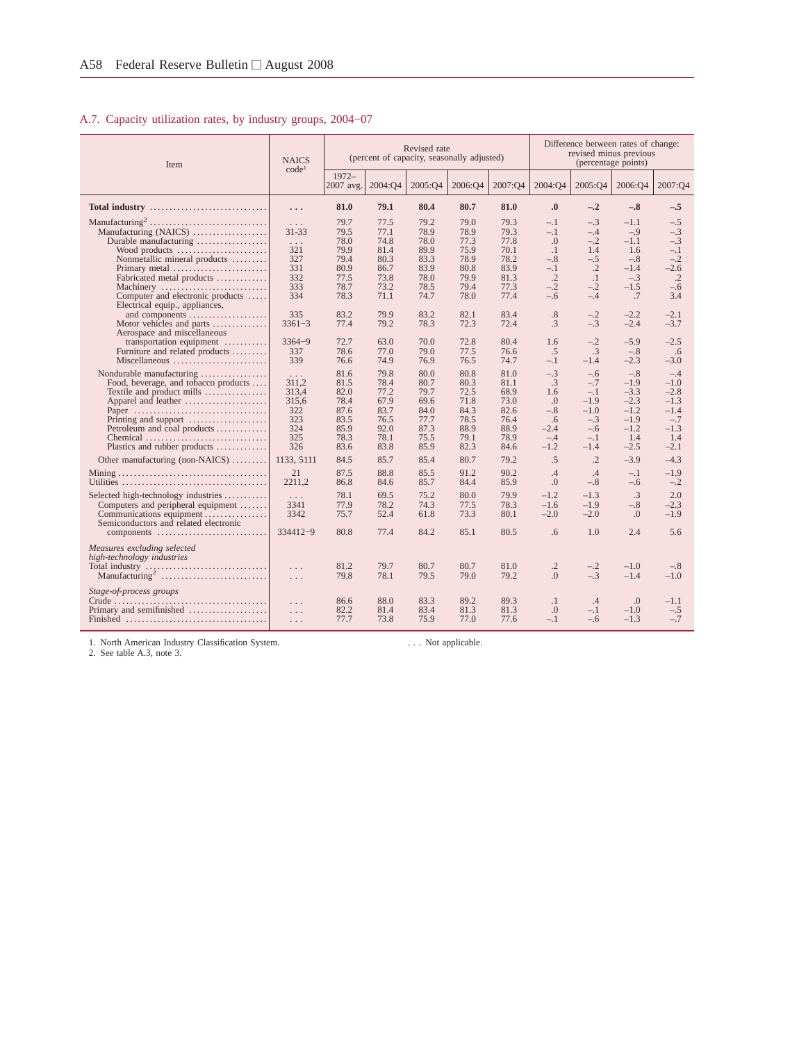# A.7. Capacity utilization rates, by industry groups, 2004−07

| Item                                                                                                                                                                                                                                  | <b>NAICS</b><br>code <sup>1</sup>                                             |                                                                              |                                                                              | Revised rate                                                                 | (percent of capacity, seasonally adjusted)                                   |                                                                              |                                                                               |                                                                                            | Difference between rates of change:<br>revised minus previous<br>(percentage points)         |                                                                                             |
|---------------------------------------------------------------------------------------------------------------------------------------------------------------------------------------------------------------------------------------|-------------------------------------------------------------------------------|------------------------------------------------------------------------------|------------------------------------------------------------------------------|------------------------------------------------------------------------------|------------------------------------------------------------------------------|------------------------------------------------------------------------------|-------------------------------------------------------------------------------|--------------------------------------------------------------------------------------------|----------------------------------------------------------------------------------------------|---------------------------------------------------------------------------------------------|
|                                                                                                                                                                                                                                       |                                                                               | $1972 -$<br>2007 avg.                                                        | 2004:04                                                                      | 2005:Q4                                                                      | 2006:04                                                                      | 2007:04                                                                      | 2004:04                                                                       | 2005:Q4                                                                                    | 2006:Q4                                                                                      | 2007:04                                                                                     |
| Total industry                                                                                                                                                                                                                        | .                                                                             | 81.0                                                                         | 79.1                                                                         | 80.4                                                                         | 80.7                                                                         | 81.0                                                                         | $\boldsymbol{0}$                                                              | $-.2$                                                                                      | $-.8$                                                                                        | $-.5$                                                                                       |
| Manufacturing (NAICS)<br>Durable manufacturing<br>Wood products<br>Nonmetallic mineral products<br>Primary metal<br>Fabricated metal products                                                                                         | $\ldots$<br>$31 - 33$<br>$\cdots$<br>321<br>327<br>331<br>332                 | 79.7<br>79.5<br>78.0<br>79.9<br>79.4<br>80.9<br>77.5                         | 77.5<br>77.1<br>74.8<br>81.4<br>80.3<br>86.7<br>73.8                         | 79.2<br>78.9<br>78.0<br>89.9<br>83.3<br>83.9<br>78.0                         | 79.0<br>78.9<br>77.3<br>75.9<br>78.9<br>80.8<br>79.9                         | 79.3<br>79.3<br>77.8<br>70.1<br>78.2<br>83.9<br>81.3                         | $-.1$<br>$-.1$<br>$\Omega$ .<br>$\cdot$ 1<br>$-.8$<br>$-.1$<br>$\cdot$ .2     | $-.3$<br>$-.4$<br>$-.2$<br>1.4<br>$-.5$<br>$\cdot$ .2<br>$\cdot$                           | $-1.1$<br>$-.9$<br>$-1.1$<br>1.6<br>$-.8$<br>$-1.4$<br>$-.3$                                 | $-.5$<br>$-.3$<br>$-.3$<br>$-.1$<br>$-.2$<br>$-2.6$<br>$\cdot$ .2                           |
| Machinery<br>Computer and electronic products<br>Electrical equip., appliances,<br>and components                                                                                                                                     | 333<br>334<br>335                                                             | 78.7<br>78.3<br>83.2                                                         | 73.2<br>71.1<br>79.9                                                         | 78.5<br>74.7<br>83.2                                                         | 79.4<br>78.0<br>82.1                                                         | 77.3<br>77.4<br>83.4                                                         | $-.2$<br>$-.6$<br>.8                                                          | $-.2$<br>$-.4$<br>$-.2$                                                                    | $-1.5$<br>.7<br>$-2.2$                                                                       | $-.6$<br>3.4<br>$-2.1$                                                                      |
| Motor vehicles and parts $\dots\dots\dots\dots$<br>Aerospace and miscellaneous<br>transportation equipment<br>Furniture and related products                                                                                          | $3361 - 3$<br>$3364 - 9$<br>337                                               | 77.4<br>72.7<br>78.6                                                         | 79.2<br>63.0<br>77.0                                                         | 78.3<br>70.0<br>79.0                                                         | 72.3<br>72.8<br>77.5                                                         | 72.4<br>80.4<br>76.6                                                         | .3<br>1.6<br>.5                                                               | $-.3$<br>$-.2$<br>$\cdot$ 3                                                                | $-2.4$<br>$-5.9$<br>$-.8$                                                                    | $-3.7$<br>$-2.5$<br>.6                                                                      |
| Miscellaneous<br>Nondurable manufacturing<br>Food, beverage, and tobacco products<br>Textile and product mills<br>Apparel and leather<br>Paper<br>Printing and support<br>Petroleum and coal products<br>Plastics and rubber products | 339<br>$\ldots$<br>311.2<br>313,4<br>315.6<br>322<br>323<br>324<br>325<br>326 | 76.6<br>81.6<br>81.5<br>82.0<br>78.4<br>87.6<br>83.5<br>85.9<br>78.3<br>83.6 | 74.9<br>79.8<br>78.4<br>77.2<br>67.9<br>83.7<br>76.5<br>92.0<br>78.1<br>83.8 | 76.9<br>80.0<br>80.7<br>79.7<br>69.6<br>84.0<br>77.7<br>87.3<br>75.5<br>85.9 | 76.5<br>80.8<br>80.3<br>72.5<br>71.8<br>84.3<br>78.5<br>88.9<br>79.1<br>82.3 | 74.7<br>81.0<br>81.1<br>68.9<br>73.0<br>82.6<br>76.4<br>88.9<br>78.9<br>84.6 | $-.1$<br>$-.3$<br>.3<br>1.6<br>.0<br>$-.8$<br>.6<br>$-2.4$<br>$-.4$<br>$-1.2$ | $-1.4$<br>$-.6$<br>$-.7$<br>$-.1$<br>$-1.9$<br>$-1.0$<br>$-.3$<br>$-.6$<br>$-.1$<br>$-1.4$ | $-2.3$<br>$-.8$<br>$-1.9$<br>$-3.3$<br>$-2.3$<br>$-1.2$<br>$-1.9$<br>$-1.2$<br>1.4<br>$-2.5$ | $-3.0$<br>$-.4$<br>$-1.0$<br>$-2.8$<br>$-1.3$<br>$-1.4$<br>$-.7$<br>$-1.3$<br>1.4<br>$-2.1$ |
| Other manufacturing (non-NAICS)                                                                                                                                                                                                       | 1133, 5111<br>21<br>2211.2                                                    | 84.5<br>87.5<br>86.8                                                         | 85.7<br>88.8<br>84.6                                                         | 85.4<br>85.5<br>85.7                                                         | 80.7<br>91.2<br>84.4                                                         | 79.2<br>90.2<br>85.9                                                         | .5<br>.4<br>0.                                                                | $\cdot$ .2<br>.4<br>$-.8$                                                                  | $-3.9$<br>$-.1$<br>$-.6$                                                                     | $-4.3$<br>$-1.9$<br>$-.2$                                                                   |
| Selected high-technology industries<br>Computers and peripheral equipment<br>Communications equipment<br>Semiconductors and related electronic<br>components                                                                          | $\ldots$<br>3341<br>3342<br>334412-9                                          | 78.1<br>77.9<br>75.7<br>80.8                                                 | 69.5<br>78.2<br>52.4<br>77.4                                                 | 75.2<br>74.3<br>61.8<br>84.2                                                 | 80.0<br>77.5<br>73.3<br>85.1                                                 | 79.9<br>78.3<br>80.1<br>80.5                                                 | $-1.2$<br>$-1.6$<br>$-2.0$<br>.6                                              | $-1.3$<br>$-1.9$<br>$-2.0$<br>1.0                                                          | $\cdot$ 3<br>$-.8$<br>$\Omega$ .<br>2.4                                                      | 2.0<br>$-2.3$<br>$-1.9$<br>5.6                                                              |
| Measures excluding selected<br>high-technology industries<br>Total industry                                                                                                                                                           | $\ldots$<br>$\ldots$                                                          | 81.2<br>79.8                                                                 | 79.7<br>78.1                                                                 | 80.7<br>79.5                                                                 | 80.7<br>79.0                                                                 | 81.0<br>79.2                                                                 | $\cdot$ 2<br>.0                                                               | $-.2$<br>$-.3$                                                                             | $-1.0$<br>$-1.4$                                                                             | $-.8$<br>$-1.0$                                                                             |
| Stage-of-process groups<br>Primary and semifinished                                                                                                                                                                                   | $\ldots$<br>$\ldots$<br>$\ldots$                                              | 86.6<br>82.2<br>77.7                                                         | 88.0<br>81.4<br>73.8                                                         | 83.3<br>83.4<br>75.9                                                         | 89.2<br>81.3<br>77.0                                                         | 89.3<br>81.3<br>77.6                                                         | $\cdot$<br>$\Omega$ .<br>$-.1$                                                | $.4\phantom{0}$<br>$-.1$<br>$-.6$                                                          | $\cdot$<br>$-1.0$<br>$-1.3$                                                                  | $-1.1$<br>$-.5$<br>$-.7$                                                                    |

1. North American Industry Classification System. 2. See table A.3, note 3.

. . . Not applicable.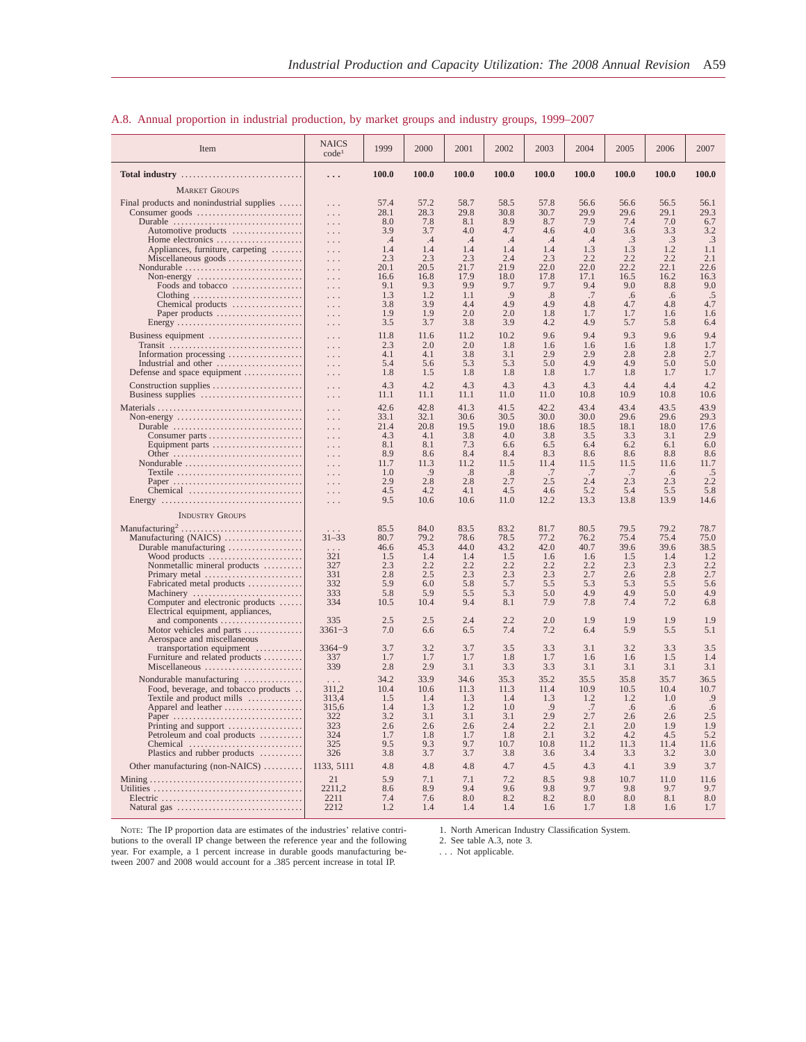| Item                                                                                      | <b>NAICS</b><br>code <sup>1</sup> | 1999         | 2000         | 2001         | 2002                 | 2003         | 2004         | 2005         | 2006         | 2007             |
|-------------------------------------------------------------------------------------------|-----------------------------------|--------------|--------------|--------------|----------------------|--------------|--------------|--------------|--------------|------------------|
| Total industry                                                                            | .                                 | 100.0        | 100.0        | 100.0        | 100.0                | 100.0        | 100.0        | 100.0        | 100.0        | 100.0            |
| <b>MARKET GROUPS</b>                                                                      |                                   |              |              |              |                      |              |              |              |              |                  |
| Final products and nonindustrial supplies                                                 | $\cdots$                          | 57.4         | 57.2         | 58.7         | 58.5                 | 57.8         | 56.6         | 56.6         | 56.5         | 56.1             |
| Consumer goods $\dots\dots\dots\dots\dots\dots\dots\dots\dots\dots\dots$                  | .                                 | 28.1         | 28.3         | 29.8         | 30.8                 | 30.7         | 29.9         | 29.6         | 29.1         | 29.3             |
| Durable<br>Automotive products                                                            | .<br>.                            | 8.0<br>3.9   | 7.8<br>3.7   | 8.1<br>4.0   | 8.9<br>4.7           | 8.7<br>4.6   | 7.9<br>4.0   | 7.4<br>3.6   | 7.0<br>3.3   | 6.7<br>3.2       |
| Home electronics                                                                          | $\cdots$                          | .4           | .4           | $\cdot$ 4    | $\cdot$              | $\cdot$ 4    | .4           | .3           | .3           | .3               |
| Appliances, furniture, carpeting<br>Miscellaneous goods                                   | $\cdots$                          | 1.4<br>2.3   | 1.4<br>2.3   | 1.4<br>2.3   | 1.4<br>2.4           | 1.4<br>2.3   | 1.3<br>2.2   | 1.3<br>2.2   | 1.2<br>2.2   | 1.1<br>2.1       |
| Nondurable                                                                                | $\cdots$<br>$\cdots$              | 20.1         | 20.5         | 21.7         | 21.9                 | 22.0         | 22.0         | 22.2         | 22.1         | 22.6             |
| Non-energy $\dots\dots\dots\dots\dots\dots\dots\dots\dots\dots$                           | $\cdots$                          | 16.6         | 16.8         | 17.9         | 18.0                 | 17.8         | 17.1         | 16.5         | 16.2         | 16.3             |
| Foods and tobacco                                                                         | $\ldots$<br>$\ldots$              | 9.1<br>1.3   | 9.3<br>1.2   | 9.9<br>1.1   | 9.7<br>.9            | 9.7<br>.8    | 9.4<br>.7    | 9.0<br>.6    | 8.8<br>.6    | 9.0<br>.5        |
| Chemical products                                                                         | $\ldots$                          | 3.8          | 3.9          | 4.4          | 4.9                  | 4.9          | 4.8          | 4.7          | 4.8          | 4.7              |
| Paper products<br>Energy                                                                  | $\ldots$                          | 1.9<br>3.5   | 1.9<br>3.7   | 2.0<br>3.8   | 2.0<br>3.9           | 1.8<br>4.2   | 1.7<br>4.9   | 1.7<br>5.7   | 1.6<br>5.8   | 1.6<br>6.4       |
| Business equipment                                                                        | $\epsilon \sim 1$                 | 11.8         | 11.6         | 11.2         | 10.2                 | 9.6          | 9.4          | 9.3          | 9.6          | 9.4              |
| Transit                                                                                   | $\ldots$<br>$\cdots$              | 2.3          | 2.0          | 2.0          | 1.8                  | 1.6          | 1.6          | 1.6          | 1.8          | 1.7              |
| Information processing                                                                    | $\ldots$                          | 4.1          | 4.1          | 3.8          | 3.1                  | 2.9          | 2.9          | 2.8          | 2.8          | 2.7              |
| Industrial and other<br>Defense and space equipment                                       | $\ldots$<br>$\epsilon \sim 1$     | 5.4<br>1.8   | 5.6<br>1.5   | 5.3<br>1.8   | 5.3<br>1.8           | 5.0<br>1.8   | 4.9<br>1.7   | 4.9<br>1.8   | 5.0<br>1.7   | 5.0<br>1.7       |
| Construction supplies                                                                     | $\cdots$                          | 4.3          | 4.2          | 4.3          | 4.3                  | 4.3          | 4.3          | 4.4          | 4.4          | 4.2              |
| Business supplies                                                                         | $\epsilon \sim 1$                 | 11.1         | 11.1         | 11.1         | 11.0                 | 11.0         | 10.8         | 10.9         | 10.8         | 10.6             |
|                                                                                           | $\cdots$                          | 42.6         | 42.8         | 41.3         | 41.5                 | 42.2         | 43.4         | 43.4         | 43.5         | 43.9             |
| Non-energy $\dots\dots\dots\dots\dots\dots\dots\dots\dots\dots\dots\dots\dots$<br>Durable | $\cdots$                          | 33.1<br>21.4 | 32.1<br>20.8 | 30.6<br>19.5 | 30.5<br>19.0         | 30.0<br>18.6 | 30.0<br>18.5 | 29.6<br>18.1 | 29.6<br>18.0 | 29.3<br>17.6     |
| Consumer parts                                                                            | $\ldots$<br>$\cdots$              | 4.3          | 4.1          | 3.8          | 4.0                  | 3.8          | 3.5          | 3.3          | 3.1          | 2.9              |
| Equipment parts                                                                           | $\ldots$                          | 8.1          | 8.1          | 7.3          | 6.6                  | 6.5          | 6.4          | 6.2          | 6.1          | 6.0              |
| Other<br>Nondurable                                                                       | $\cdots$<br>$\ldots$              | 8.9<br>11.7  | 8.6<br>11.3  | 8.4<br>11.2  | 8.4<br>11.5          | 8.3<br>11.4  | 8.6<br>11.5  | 8.6<br>11.5  | 8.8<br>11.6  | 8.6<br>11.7      |
| Textile                                                                                   | $\ldots$                          | 1.0          | .9           | .8           | $\cdot$ <sup>8</sup> | .7           | .7           | .7           | .6           | $2.\overline{2}$ |
| Paper                                                                                     | $\ldots$                          | 2.9<br>4.5   | 2.8<br>4.2   | 2.8<br>4.1   | 2.7<br>4.5           | 2.5<br>4.6   | 2.4          | 2.3<br>5.4   | 2.3          | 5.8              |
| Chemical                                                                                  | $\ldots$<br>$\epsilon \sim 1$     | 9.5          | 10.6         | 10.6         | 11.0                 | 12.2         | 5.2<br>13.3  | 13.8         | 5.5<br>13.9  | 14.6             |
| <b>INDUSTRY GROUPS</b>                                                                    |                                   |              |              |              |                      |              |              |              |              |                  |
|                                                                                           |                                   | 85.5         | 84.0         | 83.5         | 83.2                 | 81.7         | 80.5         | 79.5         | 79.2         | 78.7             |
| Manufacturing (NAICS)                                                                     | $31 - 33$                         | 80.7         | 79.2         | 78.6         | 78.5                 | 77.2         | 76.2         | 75.4         | 75.4         | 75.0             |
| Durable manufacturing                                                                     | 321                               | 46.6<br>1.5  | 45.3         | 44.0         | 43.2<br>1.5          | 42.0<br>1.6  | 40.7         | 39.6<br>1.5  | 39.6         | 38.5<br>1.2      |
| Wood products<br>Nonmetallic mineral products                                             | 327                               | 2.3          | 1.4<br>2.2   | 1.4<br>2.2   | 2.2                  | 2.2          | 1.6<br>2.2   | 2.3          | 1.4<br>2.3   | 2.2              |
| Primary metal                                                                             | 331                               | 2.8          | 2.5          | 2.3          | 2.3                  | 2.3          | 2.7          | 2.6          | 2.8          | 2.7              |
| Fabricated metal products<br>Machinery                                                    | 332<br>333                        | 5.9<br>5.8   | 6.0<br>5.9   | 5.8<br>5.5   | 5.7<br>5.3           | 5.5<br>5.0   | 5.3<br>4.9   | 5.3<br>4.9   | 5.5<br>5.0   | 5.6<br>4.9       |
| Computer and electronic products                                                          | 334                               | 10.5         | 10.4         | 9.4          | 8.1                  | 7.9          | 7.8          | 7.4          | 7.2          | 6.8              |
| Electrical equipment, appliances,                                                         | 335                               | 2.5          | 2.5          | 2.4          | 2.2                  | 2.0          | 1.9          | 1.9          | 1.9          | 1.9              |
| and components<br>Motor vehicles and parts                                                | $3361 - 3$                        | 7.0          | 6.6          | 6.5          | 7.4                  | 7.2          | 6.4          | 5.9          | 5.5          | 5.1              |
| Aerospace and miscellaneous                                                               |                                   |              |              |              |                      |              |              |              |              |                  |
| transportation equipment<br>Furniture and related products                                | $3364 - 9$<br>337                 | 3.7<br>1.7   | 3.2<br>1.7   | 3.7<br>1.7   | 3.5<br>1.8           | 3.3<br>1.7   | 3.1<br>1.6   | 3.2<br>1.6   | 3.3<br>1.5   | 3.5<br>1.4       |
| Miscellaneous                                                                             | 339                               | 2.8          | 2.9          | 3.1          | 3.3                  | 3.3          | 3.1          | 3.1          | 3.1          | 3.1              |
| Nondurable manufacturing                                                                  |                                   | 34.2         | 33.9         | 34.6         | 35.3                 | 35.2         | 35.5         | 35.8         | 35.7         | 36.5             |
| Food, beverage, and tobacco products<br>Textile and product mills                         | 311,2<br>313,4                    | 10.4<br>1.5  | 10.6<br>1.4  | 11.3<br>1.3  | 11.3<br>1.4          | 11.4<br>1.3  | 10.9<br>1.2  | 10.5<br>1.2  | 10.4<br>1.0  | 10.7<br>.9       |
| Apparel and leather                                                                       | 315,6                             | 1.4          | 1.3          | 1.2          | 1.0                  | .9           | .7           | .6           | .6           | .6               |
| Paper                                                                                     | 322<br>323                        | 3.2<br>2.6   | 3.1<br>2.6   | 3.1<br>2.6   | 3.1<br>2.4           | 2.9<br>2.2   | 2.7<br>2.1   | $2.6$<br>2.0 | 2.6<br>1.9   | 2.5<br>1.9       |
| Printing and support<br>Petroleum and coal products                                       | 324                               | 1.7          | 1.8          | 1.7          | 1.8                  | 2.1          | 3.2          | 4.2          | 4.5          | 5.2              |
| Chemical                                                                                  | 325                               | 9.5          | 9.3          | 9.7          | 10.7                 | 10.8         | 11.2         | 11.3         | 11.4         | 11.6             |
| Plastics and rubber products                                                              | 326                               | 3.8          | 3.7          | 3.7          | 3.8                  | 3.6          | 3.4          | 3.3          | 3.2          | 3.0              |
| Other manufacturing (non-NAICS)                                                           | 1133, 5111                        | 4.8          | 4.8          | 4.8          | 4.7                  | 4.5          | 4.3          | 4.1          | 3.9          | 3.7              |
|                                                                                           | 21<br>2211.2                      | 5.9<br>8.6   | 7.1<br>8.9   | 7.1<br>9.4   | 7.2<br>9.6           | 8.5<br>9.8   | 9.8<br>9.7   | 10.7<br>9.8  | 11.0<br>9.7  | 11.6<br>9.7      |
|                                                                                           | 2211                              | 7.4          | 7.6          | 8.0          | 8.2                  | 8.2          | 8.0          | 8.0          | 8.1          | 8.0              |
|                                                                                           | 2212                              | 1.2          | 1.4          | 1.4          | 1.4                  | 1.6          | 1.7          | 1.8          | 1.6          | 1.7              |

#### A.8. Annual proportion in industrial production, by market groups and industry groups, 1999–2007

NOTE: The IP proportion data are estimates of the industries' relative contri-butions to the overall IP change between the reference year and the following year. For example, a 1 percent increase in durable goods manufacturing be-tween 2007 and 2008 would account for a .385 percent increase in total IP. 1. North American Industry Classification System. 2. See table A.3, note 3.

. . . Not applicable.